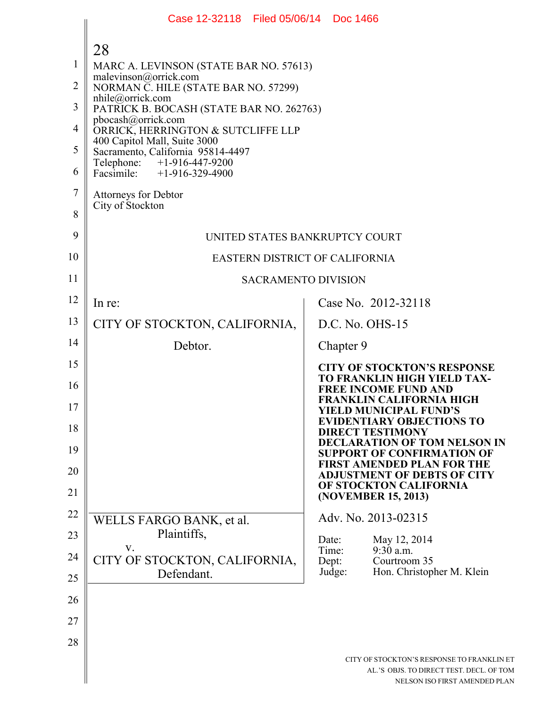|                | Case 12-32118 Filed 05/06/14 Doc 1466                             |                                                                                                                         |
|----------------|-------------------------------------------------------------------|-------------------------------------------------------------------------------------------------------------------------|
|                | 28                                                                |                                                                                                                         |
| $\mathbf{1}$   | MARC A. LEVINSON (STATE BAR NO. 57613)                            |                                                                                                                         |
| $\overline{2}$ | malevinson@orrick.com<br>NORMAN C. HILE (STATE BAR NO. 57299)     |                                                                                                                         |
| 3              | $n$ hile@orrick.com<br>PATRICK B. BOCASH (STATE BAR NO. 262763)   |                                                                                                                         |
| 4              | pbocash@orrick.com<br>ORRICK, HERRINGTON & SUTCLIFFE LLP          |                                                                                                                         |
| 5              | 400 Capitol Mall, Suite 3000<br>Sacramento, California 95814-4497 |                                                                                                                         |
| 6              | Telephone: +1-916-447-9200<br>Facsimile: $+1-916-329-4900$        |                                                                                                                         |
| 7              | <b>Attorneys for Debtor</b>                                       |                                                                                                                         |
| 8              | City of Stockton                                                  |                                                                                                                         |
| 9              | UNITED STATES BANKRUPTCY COURT                                    |                                                                                                                         |
| 10             | <b>EASTERN DISTRICT OF CALIFORNIA</b>                             |                                                                                                                         |
| 11             | <b>SACRAMENTO DIVISION</b>                                        |                                                                                                                         |
| 12             | In re:                                                            | Case No. 2012-32118                                                                                                     |
| 13             | CITY OF STOCKTON, CALIFORNIA,                                     | D.C. No. OHS-15                                                                                                         |
| 14             | Debtor.                                                           | Chapter 9                                                                                                               |
| 15             |                                                                   | <b>CITY OF STOCKTON'S RESPONSE</b>                                                                                      |
| 16             |                                                                   | TO FRANKLIN HIGH YIELD TAX-<br><b>FREE INCOME FUND AND</b><br><b>FRANKLIN CALIFORNIA HIGH</b>                           |
| 17             |                                                                   | <b>YIELD MUNICIPAL FUND'S</b><br><b>EVIDENTIARY OBJECTIONS TO</b>                                                       |
| 18             |                                                                   | <b>DIRECT TESTIMONY</b><br><b>DECLARATION OF TOM NELSON IN</b>                                                          |
| 19             |                                                                   | <b>SUPPORT OF CONFIRMATION OF</b><br><b>FIRST AMENDED PLAN FOR THE</b>                                                  |
| 20             |                                                                   | <b>ADJUSTMENT OF DEBTS OF CITY</b><br>OF STOCKTON CALIFORNIA                                                            |
| 21             |                                                                   | (NOVEMBER 15, 2013)                                                                                                     |
| 22             | WELLS FARGO BANK, et al.                                          | Adv. No. 2013-02315                                                                                                     |
| 23             | Plaintiffs,<br>V.                                                 | May 12, 2014<br>Date:<br>$9:30$ a.m.<br>Time:                                                                           |
| 24             | CITY OF STOCKTON, CALIFORNIA,                                     | Courtroom 35<br>Dept:<br>Hon. Christopher M. Klein<br>Judge:                                                            |
| 25             | Defendant.                                                        |                                                                                                                         |
| 26             |                                                                   |                                                                                                                         |
| 27             |                                                                   |                                                                                                                         |
| 28             |                                                                   |                                                                                                                         |
|                |                                                                   | CITY OF STOCKTON'S RESPONSE TO FRANKLIN ET<br>AL.'S OBJS. TO DIRECT TEST. DECL. OF TOM<br>NELSON ISO FIRST AMENDED PLAN |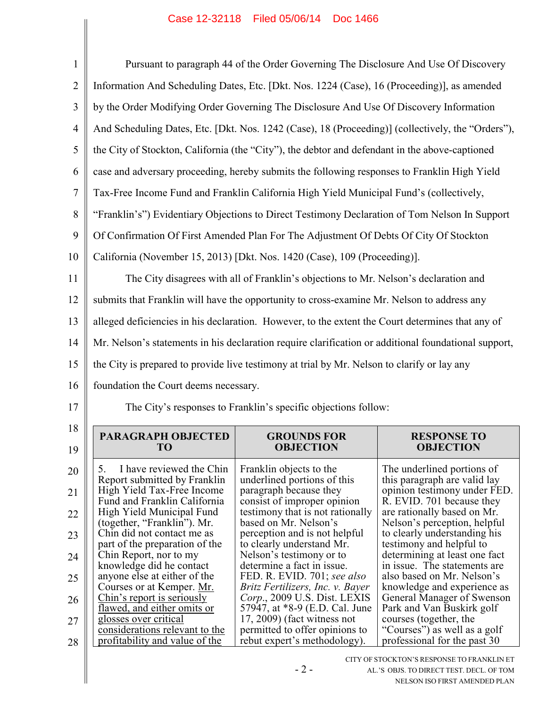| $\mathbf{1}$   |                                                                                                      | Pursuant to paragraph 44 of the Order Governing The Disclosure And Use Of Discovery                |                                                                                     |
|----------------|------------------------------------------------------------------------------------------------------|----------------------------------------------------------------------------------------------------|-------------------------------------------------------------------------------------|
| $\overline{2}$ | Information And Scheduling Dates, Etc. [Dkt. Nos. 1224 (Case), 16 (Proceeding)], as amended          |                                                                                                    |                                                                                     |
| 3              | by the Order Modifying Order Governing The Disclosure And Use Of Discovery Information               |                                                                                                    |                                                                                     |
| 4              | And Scheduling Dates, Etc. [Dkt. Nos. 1242 (Case), 18 (Proceeding)] (collectively, the "Orders"),    |                                                                                                    |                                                                                     |
| 5              | the City of Stockton, California (the "City"), the debtor and defendant in the above-captioned       |                                                                                                    |                                                                                     |
| 6              | case and adversary proceeding, hereby submits the following responses to Franklin High Yield         |                                                                                                    |                                                                                     |
| 7              | Tax-Free Income Fund and Franklin California High Yield Municipal Fund's (collectively,              |                                                                                                    |                                                                                     |
| 8              | "Franklin's") Evidentiary Objections to Direct Testimony Declaration of Tom Nelson In Support        |                                                                                                    |                                                                                     |
| 9              | Of Confirmation Of First Amended Plan For The Adjustment Of Debts Of City Of Stockton                |                                                                                                    |                                                                                     |
| 10             | California (November 15, 2013) [Dkt. Nos. 1420 (Case), 109 (Proceeding)].                            |                                                                                                    |                                                                                     |
| 11             |                                                                                                      | The City disagrees with all of Franklin's objections to Mr. Nelson's declaration and               |                                                                                     |
| 12             | submits that Franklin will have the opportunity to cross-examine Mr. Nelson to address any           |                                                                                                    |                                                                                     |
| 13             | alleged deficiencies in his declaration. However, to the extent the Court determines that any of     |                                                                                                    |                                                                                     |
| 14             | Mr. Nelson's statements in his declaration require clarification or additional foundational support, |                                                                                                    |                                                                                     |
|                | the City is prepared to provide live testimony at trial by Mr. Nelson to clarify or lay any          |                                                                                                    |                                                                                     |
| 15             |                                                                                                      |                                                                                                    |                                                                                     |
| 16             | foundation the Court deems necessary.                                                                |                                                                                                    |                                                                                     |
| 17             |                                                                                                      | The City's responses to Franklin's specific objections follow:                                     |                                                                                     |
| 18             |                                                                                                      |                                                                                                    |                                                                                     |
| 19             | <b>PARAGRAPH OBJECTED</b><br>TO                                                                      | <b>GROUNDS FOR</b><br><b>OBJECTION</b>                                                             | <b>RESPONSE TO</b><br><b>OBJECTION</b>                                              |
| 20             | 5.<br>I have reviewed the Chin                                                                       | Franklin objects to the                                                                            | The underlined portions of                                                          |
| 21             | Report submitted by Franklin<br>High Yield Tax-Free Income                                           | underlined portions of this<br>paragraph because they                                              | this paragraph are valid lay<br>opinion testimony under FED.                        |
| 22             | Fund and Franklin California<br>High Yield Municipal Fund                                            | consist of improper opinion<br>testimony that is not rationally                                    | R. EVID. 701 because they<br>are rationally based on Mr.                            |
| 23             | (together, "Franklin"). Mr.<br>Chin did not contact me as                                            | based on Mr. Nelson's<br>perception and is not helpful                                             | Nelson's perception, helpful<br>to clearly understanding his                        |
| 24             | part of the preparation of the<br>Chin Report, nor to my                                             | to clearly understand Mr.<br>Nelson's testimony or to                                              | testimony and helpful to<br>determining at least one fact                           |
| 25             | knowledge did he contact<br>anyone else at either of the                                             | determine a fact in issue.<br>FED. R. EVID. 701; see also                                          | in issue. The statements are<br>also based on Mr. Nelson's                          |
| 26             | Courses or at Kemper. Mr.<br>Chin's report is seriously                                              | Britz Fertilizers, Inc. v. Bayer<br>Corp., 2009 U.S. Dist. LEXIS                                   | knowledge and experience as<br>General Manager of Swenson                           |
| 27             | flawed, and either omits or<br>glosses over critical<br>considerations relevant to the               | 57947, at *8-9 (E.D. Cal. June<br>$17, 2009$ ) (fact witness not<br>permitted to offer opinions to | Park and Van Buskirk golf<br>courses (together, the<br>"Courses") as well as a golf |

- 2 -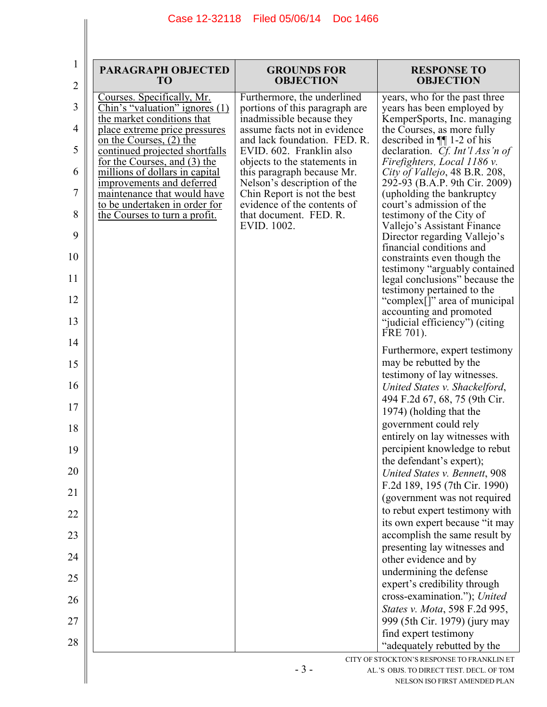| 1<br>$\overline{2}$ | <b>PARAGRAPH OBJECTED</b><br>T <sub>O</sub>                    | <b>GROUNDS FOR</b><br><b>OBJECTION</b>                        | <b>RESPONSE TO</b><br><b>OBJECTION</b>                                                        |
|---------------------|----------------------------------------------------------------|---------------------------------------------------------------|-----------------------------------------------------------------------------------------------|
| 3                   | Courses. Specifically, Mr.<br>Chin's "valuation" ignores $(1)$ | Furthermore, the underlined<br>portions of this paragraph are | years, who for the past three<br>years has been employed by                                   |
| 4                   | the market conditions that<br>place extreme price pressures    | inadmissible because they<br>assume facts not in evidence     | KemperSports, Inc. managing<br>the Courses, as more fully                                     |
| 5                   | on the Courses, (2) the<br>continued projected shortfalls      | and lack foundation. FED. R.<br>EVID. 602. Franklin also      | described in $\P$ 1-2 of his<br>declaration. Cf. Int'l Ass'n of                               |
| 6                   | for the Courses, and (3) the<br>millions of dollars in capital | objects to the statements in<br>this paragraph because Mr.    | Firefighters, Local 1186 v.<br>City of Vallejo, 48 B.R. 208,                                  |
|                     | improvements and deferred                                      | Nelson's description of the                                   | 292-93 (B.A.P. 9th Cir. 2009)                                                                 |
| 7                   | maintenance that would have<br>to be undertaken in order for   | Chin Report is not the best<br>evidence of the contents of    | (upholding the bankruptcy<br>court's admission of the                                         |
| 8                   | the Courses to turn a profit.                                  | that document. FED. R.<br>EVID. 1002.                         | testimony of the City of<br>Vallejo's Assistant Finance                                       |
| 9                   |                                                                |                                                               | Director regarding Vallejo's<br>financial conditions and                                      |
| 10                  |                                                                |                                                               | constraints even though the<br>testimony "arguably contained                                  |
| 11<br>12            |                                                                |                                                               | legal conclusions" because the<br>testimony pertained to the<br>"complex[]" area of municipal |
| 13                  |                                                                |                                                               | accounting and promoted<br>"judicial efficiency") (citing                                     |
| 14                  |                                                                |                                                               | FRE 701).                                                                                     |
|                     |                                                                |                                                               | Furthermore, expert testimony                                                                 |
| 15                  |                                                                |                                                               | may be rebutted by the<br>testimony of lay witnesses.                                         |
| 16                  |                                                                |                                                               | United States v. Shackelford,                                                                 |
| 17                  |                                                                |                                                               | 494 F.2d 67, 68, 75 (9th Cir.<br>1974) (holding that the                                      |
| 18                  |                                                                |                                                               | government could rely<br>entirely on lay witnesses with                                       |
| 19                  |                                                                |                                                               | percipient knowledge to rebut                                                                 |
| 20                  |                                                                |                                                               | the defendant's expert);<br>United States v. Bennett, 908                                     |
|                     |                                                                |                                                               | F.2d 189, 195 (7th Cir. 1990)                                                                 |
| 21                  |                                                                |                                                               | (government was not required<br>to rebut expert testimony with                                |
| 22                  |                                                                |                                                               | its own expert because "it may                                                                |
| 23                  |                                                                |                                                               | accomplish the same result by                                                                 |
| 24                  |                                                                |                                                               | presenting lay witnesses and<br>other evidence and by                                         |
| 25                  |                                                                |                                                               | undermining the defense                                                                       |
|                     |                                                                |                                                               | expert's credibility through<br>cross-examination."); United                                  |
| 26                  |                                                                |                                                               | States v. Mota, 598 F.2d 995,                                                                 |
| 27                  |                                                                |                                                               | 999 (5th Cir. 1979) (jury may                                                                 |
| 28                  |                                                                |                                                               | find expert testimony<br>"adequately rebutted by the                                          |
|                     |                                                                |                                                               | CITY OF STOCKTON'S RESPONSE TO FRANKLIN ET                                                    |
|                     |                                                                | $-3-$                                                         | AL.'S OBJS. TO DIRECT TEST. DECL. OF TOM<br>NELSON ISO FIRST AMENDED PLAN                     |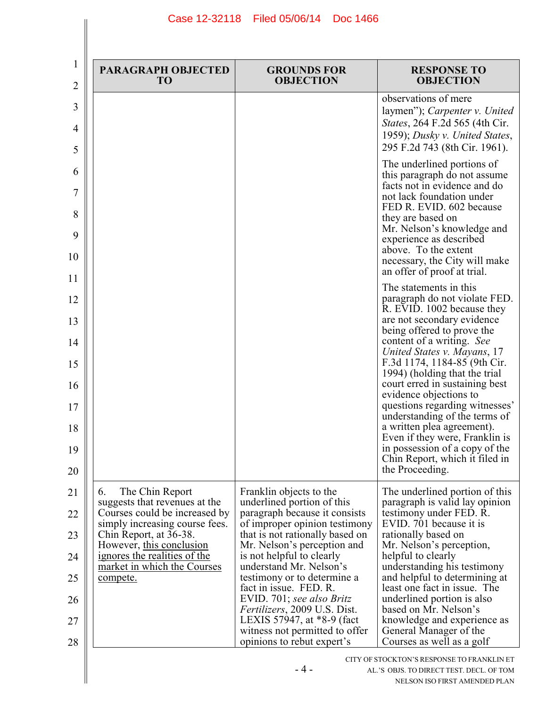| $\bf{l}$<br>2                                      | <b>PARAGRAPH OBJECTED</b><br>T <sub>O</sub>                                                                                                                                                                                                                       | <b>GROUNDS FOR</b><br><b>OBJECTION</b>                                                                                                                                                                                                                                                                                                                                                                                                                                        | <b>RESPONSE TO</b><br><b>OBJECTION</b>                                                                                                                                                                                                                                                                                                                                                                                                                                                                                                                               |
|----------------------------------------------------|-------------------------------------------------------------------------------------------------------------------------------------------------------------------------------------------------------------------------------------------------------------------|-------------------------------------------------------------------------------------------------------------------------------------------------------------------------------------------------------------------------------------------------------------------------------------------------------------------------------------------------------------------------------------------------------------------------------------------------------------------------------|----------------------------------------------------------------------------------------------------------------------------------------------------------------------------------------------------------------------------------------------------------------------------------------------------------------------------------------------------------------------------------------------------------------------------------------------------------------------------------------------------------------------------------------------------------------------|
| 3<br>4<br>5                                        |                                                                                                                                                                                                                                                                   |                                                                                                                                                                                                                                                                                                                                                                                                                                                                               | observations of mere<br>laymen"); Carpenter v. United<br>States, 264 F.2d 565 (4th Cir.<br>1959); Dusky v. United States,<br>295 F.2d 743 (8th Cir. 1961).                                                                                                                                                                                                                                                                                                                                                                                                           |
| 6<br>7<br>8<br>9<br>10<br>11                       |                                                                                                                                                                                                                                                                   |                                                                                                                                                                                                                                                                                                                                                                                                                                                                               | The underlined portions of<br>this paragraph do not assume<br>facts not in evidence and do<br>not lack foundation under<br>FED R. EVID. 602 because<br>they are based on<br>Mr. Nelson's knowledge and<br>experience as described<br>above. To the extent<br>necessary, the City will make<br>an offer of proof at trial.                                                                                                                                                                                                                                            |
| 12<br>13<br>14<br>15<br>16<br>17<br>18<br>19<br>20 |                                                                                                                                                                                                                                                                   |                                                                                                                                                                                                                                                                                                                                                                                                                                                                               | The statements in this<br>paragraph do not violate FED.<br>R. EVID. 1002 because they<br>are not secondary evidence<br>being offered to prove the<br>content of a writing. See<br>United States v. Mayans, 17<br>F.3d 1174, 1184-85 (9th Cir.<br>1994) (holding that the trial<br>court erred in sustaining best<br>evidence objections to<br>questions regarding witnesses'<br>understanding of the terms of<br>a written plea agreement).<br>Even if they were, Franklin is<br>in possession of a copy of the<br>Chin Report, which it filed in<br>the Proceeding. |
| 21<br>22<br>23<br>24<br>25<br>26<br>27<br>28       | The Chin Report<br>6.<br>suggests that revenues at the<br>Courses could be increased by<br>simply increasing course fees.<br>Chin Report, at 36-38.<br>However, this conclusion<br>ignores the realities of the<br>market in which the Courses<br><u>compete.</u> | Franklin objects to the<br>underlined portion of this<br>paragraph because it consists<br>of improper opinion testimony<br>that is not rationally based on<br>Mr. Nelson's perception and<br>is not helpful to clearly<br>understand Mr. Nelson's<br>testimony or to determine a<br>fact in issue. FED. R.<br>EVID. 701; see also Britz<br><i>Fertilizers</i> , 2009 U.S. Dist.<br>LEXIS 57947, at *8-9 (fact<br>witness not permitted to offer<br>opinions to rebut expert's | The underlined portion of this<br>paragraph is valid lay opinion<br>testimony under FED. R.<br>EVID. 701 because it is<br>rationally based on<br>Mr. Nelson's perception,<br>helpful to clearly<br>understanding his testimony<br>and helpful to determining at<br>least one fact in issue. The<br>underlined portion is also<br>based on Mr. Nelson's<br>knowledge and experience as<br>General Manager of the<br>Courses as well as a golf                                                                                                                         |
|                                                    |                                                                                                                                                                                                                                                                   | $-4-$                                                                                                                                                                                                                                                                                                                                                                                                                                                                         | CITY OF STOCKTON'S RESPONSE TO FRANKLIN ET<br>AL.'S OBJS. TO DIRECT TEST. DECL. OF TOM<br>NELSON ISO FIRST AMENDED PLAN                                                                                                                                                                                                                                                                                                                                                                                                                                              |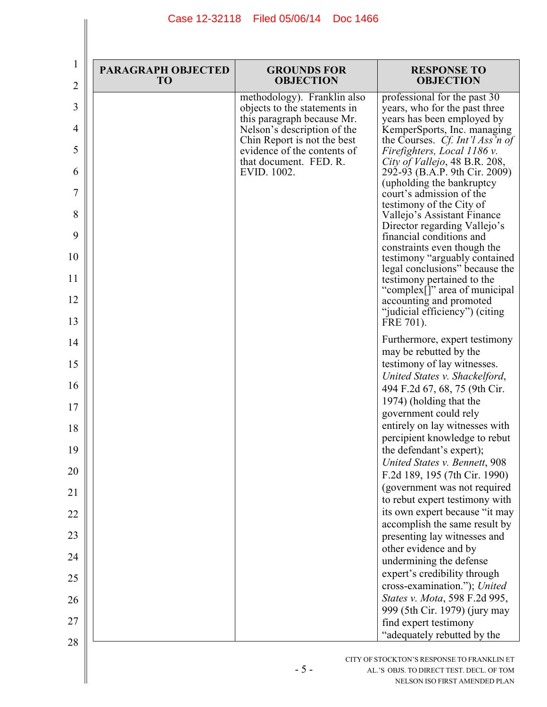| $\overline{2}$ | <b>PARAGRAPH OBJECTED</b><br>T <sub>O</sub> | <b>GROUNDS FOR</b><br><b>OBJECTION</b>                     | <b>RESPONSE TO</b><br><b>OBJECTION</b>                                                 |
|----------------|---------------------------------------------|------------------------------------------------------------|----------------------------------------------------------------------------------------|
| 3              |                                             | methodology). Franklin also                                | professional for the past 30                                                           |
| 4              |                                             | objects to the statements in<br>this paragraph because Mr. | years, who for the past three<br>years has been employed by                            |
| 5              |                                             | Nelson's description of the<br>Chin Report is not the best | KemperSports, Inc. managing<br>the Courses. Cf. Int'l Ass'n of                         |
| 6              |                                             | evidence of the contents of<br>that document. FED. R.      | Firefighters, Local 1186 v.<br>City of Vallejo, 48 B.R. 208,                           |
| $\overline{7}$ |                                             | EVID. 1002.                                                | 292-93 (B.A.P. 9th Cir. 2009)<br>(upholding the bankruptcy                             |
| 8              |                                             |                                                            | court's admission of the<br>testimony of the City of                                   |
| 9              |                                             |                                                            | Vallejo's Assistant Finance<br>Director regarding Vallejo's                            |
| 10             |                                             |                                                            | financial conditions and<br>constraints even though the                                |
| 11             |                                             |                                                            | testimony "arguably contained<br>legal conclusions" because the                        |
| 12             |                                             |                                                            | testimony pertained to the<br>"complex[]" area of municipal<br>accounting and promoted |
| 13             |                                             |                                                            | "judicial efficiency") (citing<br>FRE 701).                                            |
| 14             |                                             |                                                            | Furthermore, expert testimony                                                          |
| 15             |                                             |                                                            | may be rebutted by the<br>testimony of lay witnesses.                                  |
| 16             |                                             |                                                            | United States v. Shackelford,                                                          |
| 17             |                                             |                                                            | 494 F.2d 67, 68, 75 (9th Cir.<br>1974) (holding that the                               |
| 18             |                                             |                                                            | government could rely<br>entirely on lay witnesses with                                |
| 19             |                                             |                                                            | percipient knowledge to rebut<br>the defendant's expert);                              |
| 20             |                                             |                                                            | United States v. Bennett, 908                                                          |
| 21             |                                             |                                                            | F.2d 189, 195 (7th Cir. 1990)<br>(government was not required                          |
| 22             |                                             |                                                            | to rebut expert testimony with<br>its own expert because "it may                       |
| 23             |                                             |                                                            | accomplish the same result by                                                          |
|                |                                             |                                                            | presenting lay witnesses and<br>other evidence and by                                  |
| 24<br>25       |                                             |                                                            | undermining the defense<br>expert's credibility through                                |
| 26             |                                             |                                                            | cross-examination."); United<br>States v. Mota, 598 F.2d 995,                          |
|                |                                             |                                                            | 999 (5th Cir. 1979) (jury may                                                          |
| 27<br>28       |                                             |                                                            | find expert testimony<br>"adequately rebutted by the                                   |
|                |                                             |                                                            | CITY OF STOCKTON'S RESPONSE TO ERANKI IN ET.                                           |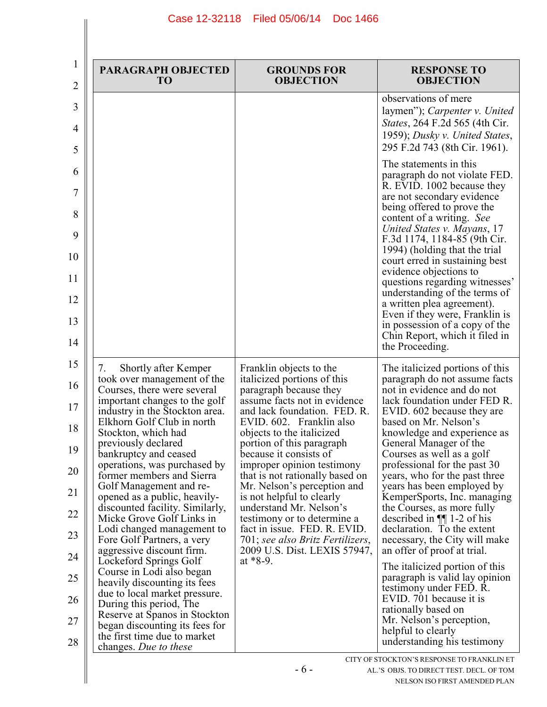| 2 | <b>PARAGRAPH OBJECTED</b><br>T <sub>O</sub>                                                                                   | <b>GROUNDS FOR</b><br><b>OBJECTION</b>                                                                                | <b>RESPONSE TO</b><br><b>OBJECTION</b>                                                                                                                                                                                                                                                                                                                                                                                                                                                                                                            |
|---|-------------------------------------------------------------------------------------------------------------------------------|-----------------------------------------------------------------------------------------------------------------------|---------------------------------------------------------------------------------------------------------------------------------------------------------------------------------------------------------------------------------------------------------------------------------------------------------------------------------------------------------------------------------------------------------------------------------------------------------------------------------------------------------------------------------------------------|
|   |                                                                                                                               |                                                                                                                       | observations of mere<br>laymen"); Carpenter v. United<br>States, 264 F.2d 565 (4th Cir.<br>1959); Dusky v. United States,<br>295 F.2d 743 (8th Cir. 1961).                                                                                                                                                                                                                                                                                                                                                                                        |
|   |                                                                                                                               |                                                                                                                       | The statements in this<br>paragraph do not violate FED.<br>R. EVID. 1002 because they<br>are not secondary evidence<br>being offered to prove the<br>content of a writing. See<br>United States v. Mayans, 17<br>F.3d 1174, 1184-85 (9th Cir.<br>1994) (holding that the trial<br>court erred in sustaining best<br>evidence objections to<br>questions regarding witnesses'<br>understanding of the terms of<br>a written plea agreement).<br>Even if they were, Franklin is<br>in possession of a copy of the<br>Chin Report, which it filed in |
|   | Shortly after Kemper<br>7.                                                                                                    | Franklin objects to the                                                                                               | the Proceeding.<br>The italicized portions of this                                                                                                                                                                                                                                                                                                                                                                                                                                                                                                |
|   | took over management of the<br>Courses, there were several<br>important changes to the golf<br>industry in the Stockton area. | italicized portions of this<br>paragraph because they<br>assume facts not in evidence<br>and lack foundation. FED. R. | paragraph do not assume facts<br>not in evidence and do not<br>lack foundation under FED R.<br>EVID. 602 because they are                                                                                                                                                                                                                                                                                                                                                                                                                         |
|   | Elkhorn Golf Club in north<br>Stockton, which had                                                                             | EVID. 602. Franklin also<br>objects to the italicized                                                                 | based on Mr. Nelson's<br>knowledge and experience as                                                                                                                                                                                                                                                                                                                                                                                                                                                                                              |
|   | previously declared<br>bankruptcy and ceased                                                                                  | portion of this paragraph<br>because it consists of                                                                   | General Manager of the<br>Courses as well as a golf                                                                                                                                                                                                                                                                                                                                                                                                                                                                                               |
|   | operations, was purchased by<br>former members and Sierra<br>Golf Management and re-                                          | improper opinion testimony<br>that is not rationally based on<br>Mr. Nelson's perception and                          | professional for the past 30<br>years, who for the past three<br>years has been employed by                                                                                                                                                                                                                                                                                                                                                                                                                                                       |
|   | opened as a public, heavily-<br>discounted facility. Similarly,                                                               | is not helpful to clearly<br>understand Mr. Nelson's                                                                  | KemperSports, Inc. managing<br>the Courses, as more fully                                                                                                                                                                                                                                                                                                                                                                                                                                                                                         |
|   | Micke Grove Golf Links in<br>Lodi changed management to                                                                       | testimony or to determine a<br>fact in issue. FED. R. EVID.<br>701; see also Britz Fertilizers,                       | described in $\P$ 1-2 of his<br>declaration. To the extent<br>necessary, the City will make                                                                                                                                                                                                                                                                                                                                                                                                                                                       |
|   | Fore Golf Partners, a very<br>aggressive discount firm.                                                                       | 2009 U.S. Dist. LEXIS 57947,<br>at $*8-9$ .                                                                           | an offer of proof at trial.                                                                                                                                                                                                                                                                                                                                                                                                                                                                                                                       |
|   | Lockeford Springs Golf<br>Course in Lodi also began<br>heavily discounting its fees                                           |                                                                                                                       | The italicized portion of this<br>paragraph is valid lay opinion                                                                                                                                                                                                                                                                                                                                                                                                                                                                                  |
|   | due to local market pressure.<br>During this period, The                                                                      |                                                                                                                       | testimony under FED. R.<br>EVID. 701 because it is                                                                                                                                                                                                                                                                                                                                                                                                                                                                                                |
|   | Reserve at Spanos in Stockton<br>began discounting its fees for                                                               |                                                                                                                       | rationally based on<br>Mr. Nelson's perception,                                                                                                                                                                                                                                                                                                                                                                                                                                                                                                   |
|   | the first time due to market<br>changes. Due to these                                                                         |                                                                                                                       | helpful to clearly<br>understanding his testimony                                                                                                                                                                                                                                                                                                                                                                                                                                                                                                 |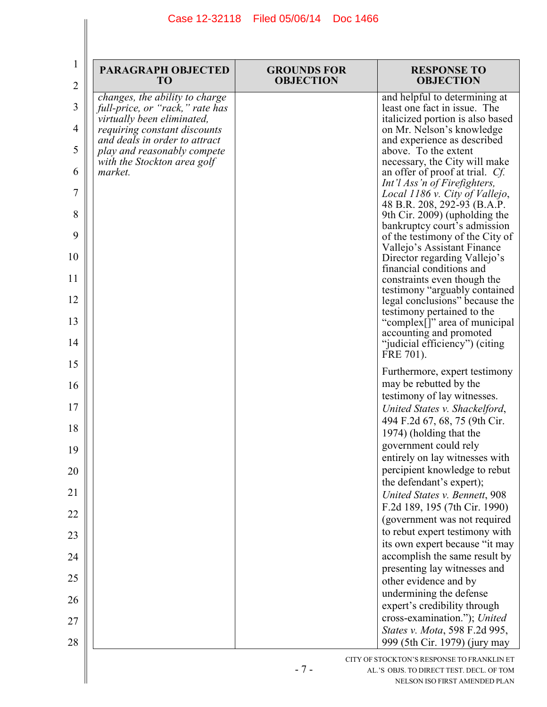| <b>PARAGRAPH OBJECTED</b><br>T <sub>O</sub>                                                                                                                                                                                               | <b>GROUNDS FOR</b><br><b>OBJECTION</b> | <b>RESPONSE TO</b><br><b>OBJECTION</b>                                                                                                                                                                                                                                                                                                                                                                                                                                                                                                                                                                                                                                                                                                                                                               |
|-------------------------------------------------------------------------------------------------------------------------------------------------------------------------------------------------------------------------------------------|----------------------------------------|------------------------------------------------------------------------------------------------------------------------------------------------------------------------------------------------------------------------------------------------------------------------------------------------------------------------------------------------------------------------------------------------------------------------------------------------------------------------------------------------------------------------------------------------------------------------------------------------------------------------------------------------------------------------------------------------------------------------------------------------------------------------------------------------------|
| changes, the ability to charge<br>full-price, or "rack," rate has<br>virtually been eliminated,<br>requiring constant discounts<br>and deals in order to attract<br>play and reasonably compete<br>with the Stockton area golf<br>market. |                                        | and helpful to determining at<br>least one fact in issue. The<br>italicized portion is also based<br>on Mr. Nelson's knowledge<br>and experience as described<br>above. To the extent<br>necessary, the City will make<br>an offer of proof at trial. Cf.<br>Int'l Ass'n of Firefighters,<br>Local 1186 v. City of Vallejo,<br>48 B.R. 208, 292-93 (B.A.P.<br>9th Cir. 2009) (upholding the<br>bankruptcy court's admission<br>of the testimony of the City of<br>Vallejo's Assistant Finance<br>Director regarding Vallejo's<br>financial conditions and<br>constraints even though the<br>testimony "arguably contained<br>legal conclusions" because the<br>testimony pertained to the<br>"complex[]" area of municipal<br>accounting and promoted<br>"judicial efficiency") (citing<br>FRE 701). |
|                                                                                                                                                                                                                                           |                                        | Furthermore, expert testimony<br>may be rebutted by the<br>testimony of lay witnesses.<br>United States v. Shackelford,<br>494 F.2d 67, 68, 75 (9th Cir.<br>1974) (holding that the<br>government could rely<br>entirely on lay witnesses with<br>percipient knowledge to rebut<br>the defendant's expert);                                                                                                                                                                                                                                                                                                                                                                                                                                                                                          |
|                                                                                                                                                                                                                                           |                                        | United States v. Bennett, 908                                                                                                                                                                                                                                                                                                                                                                                                                                                                                                                                                                                                                                                                                                                                                                        |
|                                                                                                                                                                                                                                           |                                        | F.2d 189, 195 (7th Cir. 1990)<br>(government was not required                                                                                                                                                                                                                                                                                                                                                                                                                                                                                                                                                                                                                                                                                                                                        |
|                                                                                                                                                                                                                                           |                                        | to rebut expert testimony with<br>its own expert because "it may                                                                                                                                                                                                                                                                                                                                                                                                                                                                                                                                                                                                                                                                                                                                     |
|                                                                                                                                                                                                                                           |                                        | accomplish the same result by<br>presenting lay witnesses and                                                                                                                                                                                                                                                                                                                                                                                                                                                                                                                                                                                                                                                                                                                                        |
|                                                                                                                                                                                                                                           |                                        | other evidence and by<br>undermining the defense                                                                                                                                                                                                                                                                                                                                                                                                                                                                                                                                                                                                                                                                                                                                                     |
|                                                                                                                                                                                                                                           |                                        | expert's credibility through                                                                                                                                                                                                                                                                                                                                                                                                                                                                                                                                                                                                                                                                                                                                                                         |
|                                                                                                                                                                                                                                           |                                        | cross-examination."); United<br>States v. Mota, 598 F.2d 995,<br>999 (5th Cir. 1979) (jury may                                                                                                                                                                                                                                                                                                                                                                                                                                                                                                                                                                                                                                                                                                       |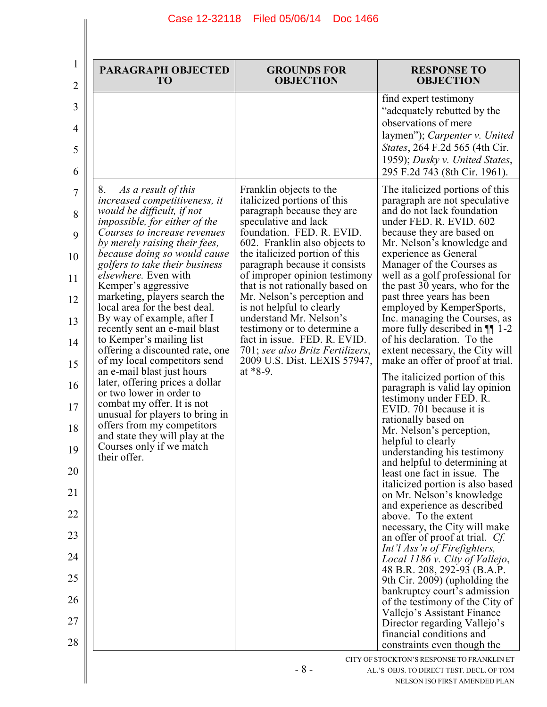| <b>PARAGRAPH OBJECTED</b><br>T <sub>O</sub>                                                                                                                                                       | <b>GROUNDS FOR</b><br><b>OBJECTION</b>                                                                                                                                                          | <b>RESPONSE TO</b><br><b>OBJECTION</b>                                                                                                                                                                                                                                                                                                                                                                     |
|---------------------------------------------------------------------------------------------------------------------------------------------------------------------------------------------------|-------------------------------------------------------------------------------------------------------------------------------------------------------------------------------------------------|------------------------------------------------------------------------------------------------------------------------------------------------------------------------------------------------------------------------------------------------------------------------------------------------------------------------------------------------------------------------------------------------------------|
| 8.<br>As a result of this<br>increased competitiveness, it<br>would be difficult, if not<br><i>impossible, for either of the</i><br>Courses to increase revenues<br>by merely raising their fees, | Franklin objects to the<br>italicized portions of this<br>paragraph because they are<br>speculative and lack<br>foundation. FED. R. EVID.<br>602. Franklin also objects to                      | find expert testimony<br>"adequately rebutted by the<br>observations of mere<br>laymen"); Carpenter v. United<br>States, 264 F.2d 565 (4th Cir.<br>1959); Dusky v. United States,<br>295 F.2d 743 (8th Cir. 1961).<br>The italicized portions of this<br>paragraph are not speculative<br>and do not lack foundation<br>under FED. R. EVID. 602<br>because they are based on<br>Mr. Nelson's knowledge and |
| because doing so would cause<br>golfers to take their business<br><i>elsewhere.</i> Even with<br>Kemper's aggressive<br>marketing, players search the<br>local area for the best deal.            | the italicized portion of this<br>paragraph because it consists<br>of improper opinion testimony<br>that is not rationally based on<br>Mr. Nelson's perception and<br>is not helpful to clearly | experience as General<br>Manager of the Courses as<br>well as a golf professional for<br>the past 30 years, who for the<br>past three years has been<br>employed by KemperSports,                                                                                                                                                                                                                          |
| By way of example, after I<br>recently sent an e-mail blast<br>to Kemper's mailing list<br>offering a discounted rate, one<br>of my local competitors send                                        | understand Mr. Nelson's<br>testimony or to determine a<br>fact in issue. FED. R. EVID.<br>701; see also Britz Fertilizers,<br>2009 U.S. Dist. LEXIS 57947,                                      | Inc. managing the Courses, as<br>more fully described in $\P$ 1-2<br>of his declaration. To the<br>extent necessary, the City will<br>make an offer of proof at trial.                                                                                                                                                                                                                                     |
| an e-mail blast just hours<br>later, offering prices a dollar<br>or two lower in order to<br>combat my offer. It is not<br>unusual for players to bring in                                        | at $*8-9$ .                                                                                                                                                                                     | The italicized portion of this<br>paragraph is valid lay opinion<br>testimony under FED. R.<br>EVID. 701 because it is                                                                                                                                                                                                                                                                                     |
| offers from my competitors<br>and state they will play at the<br>Courses only if we match<br>their offer.                                                                                         |                                                                                                                                                                                                 | rationally based on<br>Mr. Nelson's perception,<br>helpful to clearly<br>understanding his testimony                                                                                                                                                                                                                                                                                                       |
|                                                                                                                                                                                                   |                                                                                                                                                                                                 | and helpful to determining at<br>least one fact in issue. The<br>italicized portion is also based<br>on Mr. Nelson's knowledge                                                                                                                                                                                                                                                                             |
|                                                                                                                                                                                                   |                                                                                                                                                                                                 | and experience as described<br>above. To the extent                                                                                                                                                                                                                                                                                                                                                        |
|                                                                                                                                                                                                   |                                                                                                                                                                                                 | necessary, the City will make<br>an offer of proof at trial. Cf.                                                                                                                                                                                                                                                                                                                                           |
|                                                                                                                                                                                                   |                                                                                                                                                                                                 | Int'l Ass'n of Firefighters,<br>Local 1186 v. City of Vallejo,                                                                                                                                                                                                                                                                                                                                             |
|                                                                                                                                                                                                   |                                                                                                                                                                                                 | 48 B.R. 208, 292-93 (B.A.P.<br>9th Cir. 2009) (upholding the                                                                                                                                                                                                                                                                                                                                               |
|                                                                                                                                                                                                   |                                                                                                                                                                                                 | bankruptcy court's admission<br>of the testimony of the City of                                                                                                                                                                                                                                                                                                                                            |
|                                                                                                                                                                                                   |                                                                                                                                                                                                 | Vallejo's Assistant Finance<br>Director regarding Vallejo's                                                                                                                                                                                                                                                                                                                                                |
|                                                                                                                                                                                                   |                                                                                                                                                                                                 | financial conditions and<br>constraints even though the                                                                                                                                                                                                                                                                                                                                                    |

 $\parallel$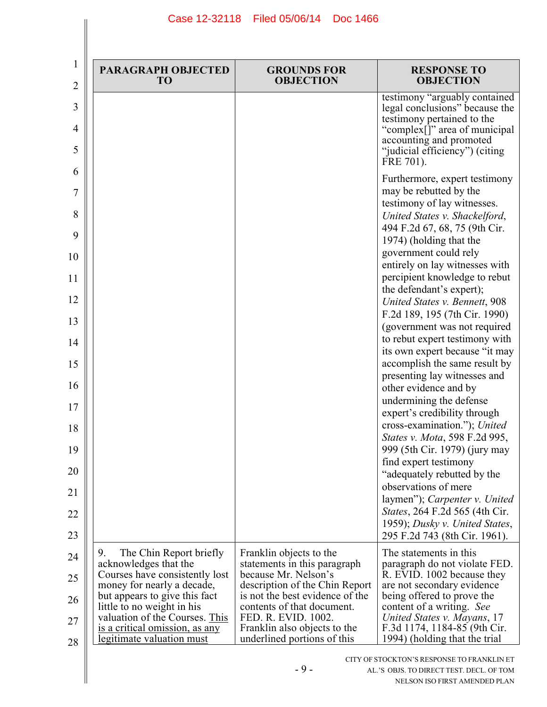| $\overline{2}$ | <b>PARAGRAPH OBJECTED</b><br>T <sub>O</sub>                  | <b>GROUNDS FOR</b><br><b>OBJECTION</b>                            | <b>RESPONSE TO</b><br><b>OBJECTION</b>                                                                                                                                                                   |
|----------------|--------------------------------------------------------------|-------------------------------------------------------------------|----------------------------------------------------------------------------------------------------------------------------------------------------------------------------------------------------------|
| 4              |                                                              |                                                                   | testimony "arguably contained<br>legal conclusions" because the<br>testimony pertained to the<br>"complex[]" area of municipal<br>accounting and promoted<br>"judicial efficiency") (citing<br>FRE 701). |
| 6              |                                                              |                                                                   | Furthermore, expert testimony<br>may be rebutted by the<br>testimony of lay witnesses.<br>United States v. Shackelford,<br>494 F.2d 67, 68, 75 (9th Cir.                                                 |
| 10             |                                                              |                                                                   | 1974) (holding that the<br>government could rely                                                                                                                                                         |
|                |                                                              |                                                                   | entirely on lay witnesses with<br>percipient knowledge to rebut                                                                                                                                          |
|                |                                                              |                                                                   | the defendant's expert);<br>United States v. Bennett, 908                                                                                                                                                |
|                |                                                              |                                                                   | F.2d 189, 195 (7th Cir. 1990)                                                                                                                                                                            |
| 14             |                                                              |                                                                   | (government was not required<br>to rebut expert testimony with                                                                                                                                           |
|                |                                                              |                                                                   | its own expert because "it may<br>accomplish the same result by                                                                                                                                          |
| 16             |                                                              |                                                                   | presenting lay witnesses and                                                                                                                                                                             |
|                |                                                              |                                                                   | other evidence and by<br>undermining the defense                                                                                                                                                         |
|                |                                                              |                                                                   | expert's credibility through<br>cross-examination."); United                                                                                                                                             |
| 19             |                                                              |                                                                   | States v. Mota, 598 F.2d 995,<br>999 (5th Cir. 1979) (jury may                                                                                                                                           |
| 20             |                                                              |                                                                   | find expert testimony                                                                                                                                                                                    |
|                |                                                              |                                                                   | "adequately rebutted by the<br>observations of mere                                                                                                                                                      |
|                |                                                              |                                                                   | laymen"); Carpenter v. United<br><i>States</i> , 264 F.2d 565 (4th Cir.                                                                                                                                  |
|                |                                                              |                                                                   | 1959); Dusky v. United States,                                                                                                                                                                           |
|                | The Chin Report briefly<br>9.                                | Franklin objects to the                                           | 295 F.2d 743 (8th Cir. 1961).<br>The statements in this                                                                                                                                                  |
| 24             | acknowledges that the<br>Courses have consistently lost      | statements in this paragraph<br>because Mr. Nelson's              | paragraph do not violate FED.<br>R. EVID. 1002 because they                                                                                                                                              |
| 25             | money for nearly a decade,<br>but appears to give this fact  | description of the Chin Report<br>is not the best evidence of the | are not secondary evidence<br>being offered to prove the                                                                                                                                                 |
| 26             | little to no weight in his<br>valuation of the Courses. This | contents of that document.<br>FED. R. EVID. 1002.                 | content of a writing. See<br>United States v. Mayans, 17                                                                                                                                                 |
| 28             | is a critical omission, as any                               | Franklin also objects to the                                      | F.3d 1174, 1184-85 (9th Cir.                                                                                                                                                                             |
|                | legitimate valuation must                                    | underlined portions of this                                       | 1994) (holding that the trial                                                                                                                                                                            |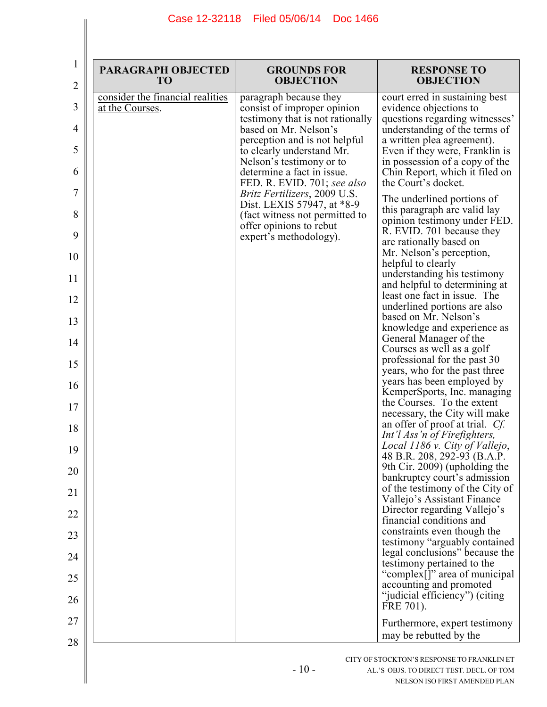| $\mathbf 1$<br>$\overline{2}$ | <b>PARAGRAPH OBJECTED</b><br><b>TO</b> | <b>GROUNDS FOR</b><br><b>OBJECTION</b>                             | <b>RESPONSE TO</b><br><b>OBJECTION</b>                                                         |
|-------------------------------|----------------------------------------|--------------------------------------------------------------------|------------------------------------------------------------------------------------------------|
|                               | consider the financial realities       | paragraph because they                                             | court erred in sustaining best                                                                 |
| 3                             | at the Courses.                        | consist of improper opinion<br>testimony that is not rationally    | evidence objections to<br>questions regarding witnesses'                                       |
| 4                             |                                        | based on Mr. Nelson's<br>perception and is not helpful             | understanding of the terms of<br>a written plea agreement).                                    |
| 5                             |                                        | to clearly understand Mr.<br>Nelson's testimony or to              | Even if they were, Franklin is<br>in possession of a copy of the                               |
| 6                             |                                        | determine a fact in issue.<br>FED. R. EVID. 701; see also          | Chin Report, which it filed on<br>the Court's docket.                                          |
| 7                             |                                        | <i>Britz Fertilizers</i> , 2009 U.S.<br>Dist. LEXIS 57947, at *8-9 | The underlined portions of<br>this paragraph are valid lay                                     |
| 8<br>9                        |                                        | (fact witness not permitted to<br>offer opinions to rebut          | opinion testimony under FED.<br>R. EVID. 701 because they                                      |
| 10                            |                                        | expert's methodology).                                             | are rationally based on<br>Mr. Nelson's perception,                                            |
| 11                            |                                        |                                                                    | helpful to clearly<br>understanding his testimony                                              |
| 12                            |                                        |                                                                    | and helpful to determining at<br>least one fact in issue. The                                  |
| 13                            |                                        |                                                                    | underlined portions are also<br>based on Mr. Nelson's                                          |
| 14                            |                                        |                                                                    | knowledge and experience as<br>General Manager of the                                          |
| 15                            |                                        |                                                                    | Courses as well as a golf<br>professional for the past 30                                      |
| 16                            |                                        |                                                                    | years, who for the past three<br>years has been employed by                                    |
| 17                            |                                        |                                                                    | KemperSports, Inc. managing<br>the Courses. To the extent                                      |
| 18                            |                                        |                                                                    | necessary, the City will make<br>an offer of proof at trial. Cf.                               |
| 19                            |                                        |                                                                    | Int'l Ass'n of Firefighters,<br>Local 1186 v. City of Vallejo,<br>48 B.R. 208, 292-93 (B.A.P.  |
| 20                            |                                        |                                                                    | 9th Cir. 2009) (upholding the                                                                  |
| 21                            |                                        |                                                                    | bankruptcy court's admission<br>of the testimony of the City of<br>Vallejo's Assistant Finance |
| 22                            |                                        |                                                                    | Director regarding Vallejo's<br>financial conditions and                                       |
| 23                            |                                        |                                                                    | constraints even though the                                                                    |
| 24                            |                                        |                                                                    | testimony "arguably contained<br>legal conclusions" because the<br>testimony pertained to the  |
| 25                            |                                        |                                                                    | "complex[]" area of municipal<br>accounting and promoted                                       |
| 26                            |                                        |                                                                    | "judicial efficiency") (citing<br>FRE 701).                                                    |
| 27                            |                                        |                                                                    | Furthermore, expert testimony                                                                  |
| 28                            |                                        |                                                                    | may be rebutted by the                                                                         |
|                               |                                        |                                                                    | CITY OF STOCKTON'S RESPONSE TO FRANKLIN ET                                                     |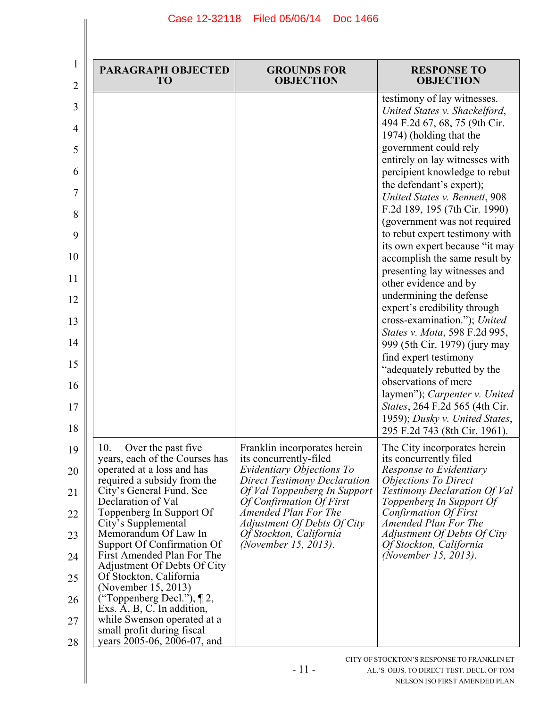| 1<br>2                                                                                | <b>PARAGRAPH OBJECTED</b><br>TO                                                                                                                                                                                                                                                                                                                                                                                                                                                                                                                                  | <b>GROUNDS FOR</b><br><b>OBJECTION</b>                                                                                                                                                                                                                                                           | <b>RESPONSE TO</b><br><b>OBJECTION</b>                                                                                                                                                                                                                                                                                                                                                                                                                                                                                                                                                                                                                                                                                                                                                                                                                             |
|---------------------------------------------------------------------------------------|------------------------------------------------------------------------------------------------------------------------------------------------------------------------------------------------------------------------------------------------------------------------------------------------------------------------------------------------------------------------------------------------------------------------------------------------------------------------------------------------------------------------------------------------------------------|--------------------------------------------------------------------------------------------------------------------------------------------------------------------------------------------------------------------------------------------------------------------------------------------------|--------------------------------------------------------------------------------------------------------------------------------------------------------------------------------------------------------------------------------------------------------------------------------------------------------------------------------------------------------------------------------------------------------------------------------------------------------------------------------------------------------------------------------------------------------------------------------------------------------------------------------------------------------------------------------------------------------------------------------------------------------------------------------------------------------------------------------------------------------------------|
| 3<br>4<br>5<br>6<br>7<br>8<br>9<br>10<br>11<br>12<br>13<br>14<br>15<br>16<br>17<br>18 |                                                                                                                                                                                                                                                                                                                                                                                                                                                                                                                                                                  |                                                                                                                                                                                                                                                                                                  | testimony of lay witnesses.<br>United States v. Shackelford,<br>494 F.2d 67, 68, 75 (9th Cir.<br>1974) (holding that the<br>government could rely<br>entirely on lay witnesses with<br>percipient knowledge to rebut<br>the defendant's expert);<br>United States v. Bennett, 908<br>F.2d 189, 195 (7th Cir. 1990)<br>(government was not required<br>to rebut expert testimony with<br>its own expert because "it may<br>accomplish the same result by<br>presenting lay witnesses and<br>other evidence and by<br>undermining the defense<br>expert's credibility through<br>cross-examination."); United<br>States v. Mota, 598 F.2d 995,<br>999 (5th Cir. 1979) (jury may<br>find expert testimony<br>"adequately rebutted by the<br>observations of mere<br>laymen"); Carpenter v. United<br>States, 264 F.2d 565 (4th Cir.<br>1959); Dusky v. United States, |
| 19<br>20<br>21<br>22<br>23<br>24<br>25<br>26<br>27<br>28                              | 10.<br>Over the past five<br>years, each of the Courses has<br>operated at a loss and has<br>required a subsidy from the<br>City's General Fund. See<br>Declaration of Val<br>Toppenberg In Support Of<br>City's Supplemental<br>Memorandum Of Law In<br>Support Of Confirmation Of<br>First Amended Plan For The<br>Adjustment Of Debts Of City<br>Of Stockton, California<br>(November 15, 2013)<br>("Toppenberg Decl."), $\P$ 2,<br>Exs. $A, B, C$ . In addition,<br>while Swenson operated at a<br>small profit during fiscal<br>years 2005-06, 2006-07, and | Franklin incorporates herein<br>its concurrently-filed<br>Evidentiary Objections To<br><b>Direct Testimony Declaration</b><br>Of Val Toppenberg In Support<br>Of Confirmation Of First<br>Amended Plan For The<br>Adjustment Of Debts Of City<br>Of Stockton, California<br>(November 15, 2013). | 295 F.2d 743 (8th Cir. 1961).<br>The City incorporates herein<br>its concurrently filed<br>Response to Evidentiary<br><b>Objections To Direct</b><br><b>Testimony Declaration Of Val</b><br>Toppenberg In Support Of<br><b>Confirmation Of First</b><br>Amended Plan For The<br>Adjustment Of Debts Of City<br>Of Stockton, California<br>(November 15, 2013).                                                                                                                                                                                                                                                                                                                                                                                                                                                                                                     |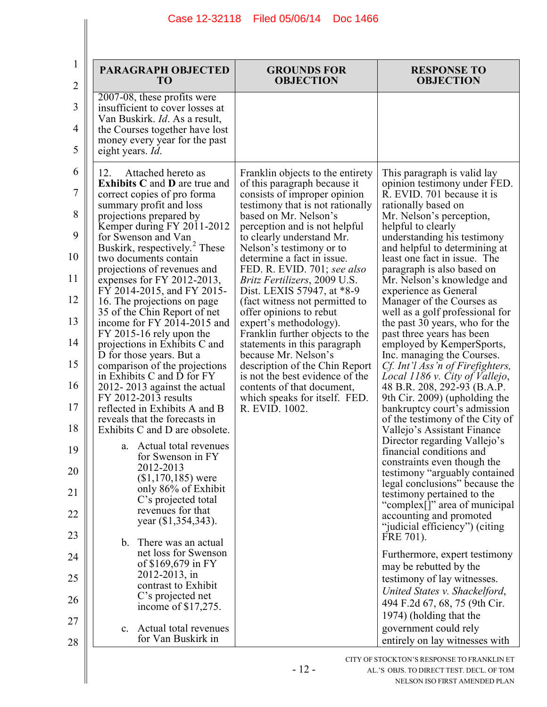| T <sub>O</sub>                                                                                                                                                                                                                                                                                                                                                                                                                                                                                                                                                                                                                                                                                                                                                                                                                                                                                                                                                                                                                                                         | <b>GROUNDS FOR</b><br><b>OBJECTION</b>                                                                                                                                                                                                                                                                                                                                                                                                                                                                                                                                                                                                                                                                                            | <b>RESPONSE TO</b><br><b>OBJECTION</b>                                                                                                                                                                                                                                                                                                                                                                                                                                                                                                                                                                                                                                                                                                                                                                                                                                                                                                                                                                                                                                                                                                                                                                 |
|------------------------------------------------------------------------------------------------------------------------------------------------------------------------------------------------------------------------------------------------------------------------------------------------------------------------------------------------------------------------------------------------------------------------------------------------------------------------------------------------------------------------------------------------------------------------------------------------------------------------------------------------------------------------------------------------------------------------------------------------------------------------------------------------------------------------------------------------------------------------------------------------------------------------------------------------------------------------------------------------------------------------------------------------------------------------|-----------------------------------------------------------------------------------------------------------------------------------------------------------------------------------------------------------------------------------------------------------------------------------------------------------------------------------------------------------------------------------------------------------------------------------------------------------------------------------------------------------------------------------------------------------------------------------------------------------------------------------------------------------------------------------------------------------------------------------|--------------------------------------------------------------------------------------------------------------------------------------------------------------------------------------------------------------------------------------------------------------------------------------------------------------------------------------------------------------------------------------------------------------------------------------------------------------------------------------------------------------------------------------------------------------------------------------------------------------------------------------------------------------------------------------------------------------------------------------------------------------------------------------------------------------------------------------------------------------------------------------------------------------------------------------------------------------------------------------------------------------------------------------------------------------------------------------------------------------------------------------------------------------------------------------------------------|
| 2007-08, these profits were<br>insufficient to cover losses at<br>Van Buskirk. Id. As a result,<br>the Courses together have lost<br>money every year for the past<br>eight years. Id.                                                                                                                                                                                                                                                                                                                                                                                                                                                                                                                                                                                                                                                                                                                                                                                                                                                                                 |                                                                                                                                                                                                                                                                                                                                                                                                                                                                                                                                                                                                                                                                                                                                   |                                                                                                                                                                                                                                                                                                                                                                                                                                                                                                                                                                                                                                                                                                                                                                                                                                                                                                                                                                                                                                                                                                                                                                                                        |
| 12.<br>Attached hereto as<br><b>Exhibits C and D are true and</b><br>correct copies of pro forma<br>summary profit and loss<br>projections prepared by<br>Kemper during FY 2011-2012<br>for Swenson and Van<br>Buskirk, respectively. <sup>2</sup> These<br>two documents contain<br>projections of revenues and<br>expenses for FY 2012-2013,<br>FY 2014-2015, and FY 2015-<br>16. The projections on page<br>35 of the Chin Report of net<br>income for FY 2014-2015 and<br>FY 2015-16 rely upon the<br>projections in Exhibits C and<br>D for those years. But a<br>comparison of the projections<br>in Exhibits C and D for FY<br>2012-2013 against the actual<br>FY 2012-2013 results<br>reflected in Exhibits A and B<br>reveals that the forecasts in<br>Exhibits C and D are obsolete.<br>a. Actual total revenues<br>for Swenson in FY<br>2012-2013<br>$($1,170,185)$ were<br>only 86% of Exhibit<br>C's projected total<br>revenues for that<br>year (\$1,354,343).<br>b. There was an actual<br>net loss for Swenson<br>of \$169,679 in FY<br>2012-2013, in | Franklin objects to the entirety<br>of this paragraph because it<br>consists of improper opinion<br>testimony that is not rationally<br>based on Mr. Nelson's<br>perception and is not helpful<br>to clearly understand Mr.<br>Nelson's testimony or to<br>determine a fact in issue.<br>FED. R. EVID. 701; see also<br><i>Britz Fertilizers, 2009 U.S.</i><br>Dist. LEXIS 57947, at *8-9<br>(fact witness not permitted to<br>offer opinions to rebut<br>expert's methodology).<br>Franklin further objects to the<br>statements in this paragraph<br>because Mr. Nelson's<br>description of the Chin Report<br>is not the best evidence of the<br>contents of that document,<br>which speaks for itself. FED.<br>R. EVID. 1002. | This paragraph is valid lay<br>opinion testimony under FED.<br>R. EVID. 701 because it is<br>rationally based on<br>Mr. Nelson's perception,<br>helpful to clearly<br>understanding his testimony<br>and helpful to determining at<br>least one fact in issue. The<br>paragraph is also based on<br>Mr. Nelson's knowledge and<br>experience as General<br>Manager of the Courses as<br>well as a golf professional for<br>the past 30 years, who for the<br>past three years has been<br>employed by KemperSports,<br>Inc. managing the Courses.<br>Cf. Int'l Ass'n of Firefighters,<br>Local 1186 v. City of Vallejo,<br>48 B.R. 208, 292-93 (B.A.P.<br>9th Cir. 2009) (upholding the<br>bankruptcy court's admission<br>of the testimony of the City of<br>Vallejo's Assistant Finance<br>Director regarding Vallejo's<br>financial conditions and<br>constraints even though the<br>testimony "arguably contained<br>legal conclusions" because the<br>testimony pertained to the<br>"complex <sup>[]"</sup> area of municipal<br>accounting and promoted<br>"judicial efficiency") (citing<br>FRE 701).<br>Furthermore, expert testimony<br>may be rebutted by the<br>testimony of lay witnesses. |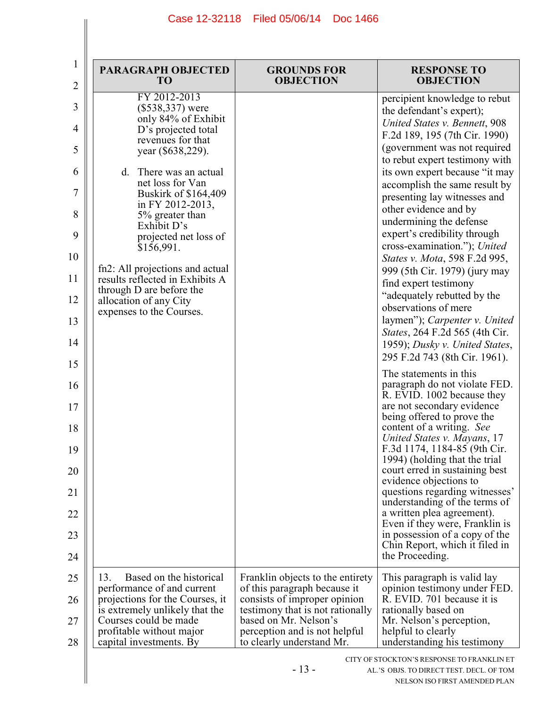| 1<br>$\overline{2}$                         | <b>PARAGRAPH OBJECTED</b><br>T <sub>O</sub>                                                                                                                                                                                                                                                                                                                         | <b>GROUNDS FOR</b><br><b>OBJECTION</b>                                                                                                                     | <b>RESPONSE TO</b><br><b>OBJECTION</b>                                                                                                                                                                                                                                                                                                                                                                                                                                                 |
|---------------------------------------------|---------------------------------------------------------------------------------------------------------------------------------------------------------------------------------------------------------------------------------------------------------------------------------------------------------------------------------------------------------------------|------------------------------------------------------------------------------------------------------------------------------------------------------------|----------------------------------------------------------------------------------------------------------------------------------------------------------------------------------------------------------------------------------------------------------------------------------------------------------------------------------------------------------------------------------------------------------------------------------------------------------------------------------------|
| 3<br>4<br>5<br>6<br>7<br>8<br>9<br>10<br>11 | FY 2012-2013<br>$(\$538,337)$ were<br>only 84% of Exhibit<br>D's projected total<br>revenues for that<br>year (\$638,229).<br>d. There was an actual<br>net loss for Van<br>Buskirk of \$164,409<br>in FY 2012-2013,<br>5% greater than<br>Exhibit D's<br>projected net loss of<br>\$156,991.<br>fn2: All projections and actual<br>results reflected in Exhibits A |                                                                                                                                                            | percipient knowledge to rebut<br>the defendant's expert);<br>United States v. Bennett, 908<br>F.2d 189, 195 (7th Cir. 1990)<br>(government was not required<br>to rebut expert testimony with<br>its own expert because "it may<br>accomplish the same result by<br>presenting lay witnesses and<br>other evidence and by<br>undermining the defense<br>expert's credibility through<br>cross-examination."); United<br>States v. Mota, 598 F.2d 995,<br>999 (5th Cir. 1979) (jury may |
| 12<br>13                                    | through D are before the<br>allocation of any City<br>expenses to the Courses.                                                                                                                                                                                                                                                                                      |                                                                                                                                                            | find expert testimony<br>"adequately rebutted by the<br>observations of mere<br>laymen"); Carpenter v. United<br>States, 264 F.2d 565 (4th Cir.                                                                                                                                                                                                                                                                                                                                        |
| 14<br>15                                    |                                                                                                                                                                                                                                                                                                                                                                     |                                                                                                                                                            | 1959); Dusky v. United States,<br>295 F.2d 743 (8th Cir. 1961).                                                                                                                                                                                                                                                                                                                                                                                                                        |
| 16                                          |                                                                                                                                                                                                                                                                                                                                                                     |                                                                                                                                                            | The statements in this<br>paragraph do not violate FED.<br>R. EVID. 1002 because they                                                                                                                                                                                                                                                                                                                                                                                                  |
| 17<br>18                                    |                                                                                                                                                                                                                                                                                                                                                                     |                                                                                                                                                            | are not secondary evidence<br>being offered to prove the<br>content of a writing. See<br>United States v. Mayans, 17                                                                                                                                                                                                                                                                                                                                                                   |
| 19                                          |                                                                                                                                                                                                                                                                                                                                                                     |                                                                                                                                                            | F.3d 1174, 1184-85 (9th Cir.<br>1994) (holding that the trial                                                                                                                                                                                                                                                                                                                                                                                                                          |
| 20<br>21                                    |                                                                                                                                                                                                                                                                                                                                                                     |                                                                                                                                                            | court erred in sustaining best<br>evidence objections to<br>questions regarding witnesses'                                                                                                                                                                                                                                                                                                                                                                                             |
| 22                                          |                                                                                                                                                                                                                                                                                                                                                                     |                                                                                                                                                            | understanding of the terms of<br>a written plea agreement).<br>Even if they were, Franklin is                                                                                                                                                                                                                                                                                                                                                                                          |
| 23<br>24                                    |                                                                                                                                                                                                                                                                                                                                                                     |                                                                                                                                                            | in possession of a copy of the<br>Chin Report, which it filed in<br>the Proceeding.                                                                                                                                                                                                                                                                                                                                                                                                    |
| 25                                          | Based on the historical<br>13.                                                                                                                                                                                                                                                                                                                                      | Franklin objects to the entirety                                                                                                                           | This paragraph is valid lay                                                                                                                                                                                                                                                                                                                                                                                                                                                            |
| 26<br>27                                    | performance of and current<br>projections for the Courses, it<br>is extremely unlikely that the<br>Courses could be made<br>profitable without major                                                                                                                                                                                                                | of this paragraph because it<br>consists of improper opinion<br>testimony that is not rationally<br>based on Mr. Nelson's<br>perception and is not helpful | opinion testimony under FED.<br>R. EVID. 701 because it is<br>rationally based on<br>Mr. Nelson's perception,<br>helpful to clearly                                                                                                                                                                                                                                                                                                                                                    |
| 28                                          | capital investments. By                                                                                                                                                                                                                                                                                                                                             | to clearly understand Mr.<br>$-13-$                                                                                                                        | understanding his testimony<br>CITY OF STOCKTON'S RESPONSE TO FRANKLIN ET<br>AL.'S OBJS. TO DIRECT TEST. DECL. OF TOM                                                                                                                                                                                                                                                                                                                                                                  |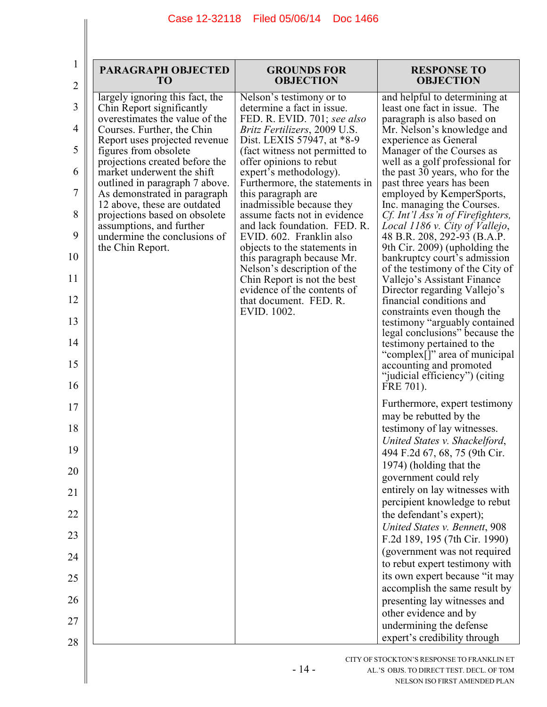| $\bf{l}$<br>$\overline{2}$ | <b>PARAGRAPH OBJECTED</b><br>TO                                                                | <b>GROUNDS FOR</b><br><b>OBJECTION</b>                                                   | <b>RESPONSE TO</b><br><b>OBJECTION</b>                                                            |
|----------------------------|------------------------------------------------------------------------------------------------|------------------------------------------------------------------------------------------|---------------------------------------------------------------------------------------------------|
| 3                          | largely ignoring this fact, the<br>Chin Report significantly<br>overestimates the value of the | Nelson's testimony or to<br>determine a fact in issue.<br>FED. R. EVID. 701; see also    | and helpful to determining at<br>least one fact in issue. The<br>paragraph is also based on       |
| 4                          | Courses. Further, the Chin                                                                     | <i>Britz Fertilizers, 2009 U.S.</i>                                                      | Mr. Nelson's knowledge and                                                                        |
| 5                          | Report uses projected revenue<br>figures from obsolete                                         | Dist. LEXIS 57947, at *8-9<br>(fact witness not permitted to                             | experience as General<br>Manager of the Courses as                                                |
| 6                          | projections created before the<br>market underwent the shift<br>outlined in paragraph 7 above. | offer opinions to rebut<br>expert's methodology).<br>Furthermore, the statements in      | well as a golf professional for<br>the past 30 years, who for the<br>past three years has been    |
| 7                          | As demonstrated in paragraph<br>12 above, these are outdated                                   | this paragraph are<br>inadmissible because they                                          | employed by KemperSports,<br>Inc. managing the Courses.                                           |
| 8<br>9                     | projections based on obsolete<br>assumptions, and further<br>undermine the conclusions of      | assume facts not in evidence<br>and lack foundation. FED. R.<br>EVID. 602. Franklin also | Cf. Int'l Ass'n of Firefighters,<br>Local 1186 v. City of Vallejo,<br>48 B.R. 208, 292-93 (B.A.P. |
| 10                         | the Chin Report.                                                                               | objects to the statements in<br>this paragraph because Mr.                               | 9th Cir. 2009) (upholding the<br>bankruptcy court's admission                                     |
| 11                         |                                                                                                | Nelson's description of the<br>Chin Report is not the best                               | of the testimony of the City of<br>Vallejo's Assistant Finance                                    |
| 12                         |                                                                                                | evidence of the contents of<br>that document. FED. R.                                    | Director regarding Vallejo's<br>financial conditions and                                          |
| 13                         |                                                                                                | EVID. 1002.                                                                              | constraints even though the<br>testimony "arguably contained"<br>legal conclusions" because the   |
| 14                         |                                                                                                |                                                                                          | testimony pertained to the<br>"complex[]" area of municipal                                       |
| 15<br>16                   |                                                                                                |                                                                                          | accounting and promoted<br>"judicial efficiency") (citing<br>FRE 701).                            |
| 17                         |                                                                                                |                                                                                          | Furthermore, expert testimony                                                                     |
| 18                         |                                                                                                |                                                                                          | may be rebutted by the<br>testimony of lay witnesses.                                             |
| 19                         |                                                                                                |                                                                                          | United States v. Shackelford,<br>494 F.2d 67, 68, 75 (9th Cir.                                    |
| 20                         |                                                                                                |                                                                                          | 1974) (holding that the<br>government could rely                                                  |
| 21                         |                                                                                                |                                                                                          | entirely on lay witnesses with                                                                    |
| 22                         |                                                                                                |                                                                                          | percipient knowledge to rebut<br>the defendant's expert);                                         |
| 23                         |                                                                                                |                                                                                          | United States v. Bennett, 908                                                                     |
|                            |                                                                                                |                                                                                          | F.2d 189, 195 (7th Cir. 1990)<br>(government was not required                                     |
| 24                         |                                                                                                |                                                                                          | to rebut expert testimony with<br>its own expert because "it may                                  |
| 25                         |                                                                                                |                                                                                          | accomplish the same result by                                                                     |
| 26                         |                                                                                                |                                                                                          | presenting lay witnesses and<br>other evidence and by                                             |
| 27                         |                                                                                                |                                                                                          | undermining the defense                                                                           |
| 28                         |                                                                                                |                                                                                          | expert's credibility through                                                                      |
|                            |                                                                                                |                                                                                          | CITY OF STOCKTON'S RESPONSE TO FRANKLIN ET                                                        |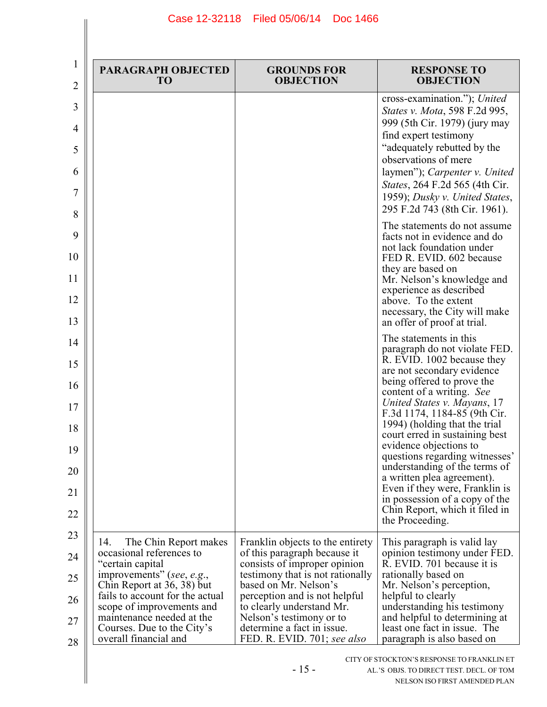| 1<br>$\overline{2}$        | <b>PARAGRAPH OBJECTED</b><br>T <sub>O</sub>                   | <b>GROUNDS FOR</b><br><b>OBJECTION</b>                                                           | <b>RESPONSE TO</b><br><b>OBJECTION</b>                                                                                                                                                                                                                                                                               |
|----------------------------|---------------------------------------------------------------|--------------------------------------------------------------------------------------------------|----------------------------------------------------------------------------------------------------------------------------------------------------------------------------------------------------------------------------------------------------------------------------------------------------------------------|
| 3<br>4<br>5<br>6<br>7<br>8 |                                                               |                                                                                                  | cross-examination."); United<br>States v. Mota, 598 F.2d 995,<br>999 (5th Cir. 1979) (jury may<br>find expert testimony<br>"adequately rebutted by the<br>observations of mere<br>laymen"); Carpenter v. United<br>States, 264 F.2d 565 (4th Cir.<br>1959); Dusky v. United States,<br>295 F.2d 743 (8th Cir. 1961). |
| 9                          |                                                               |                                                                                                  | The statements do not assume<br>facts not in evidence and do                                                                                                                                                                                                                                                         |
| 10                         |                                                               |                                                                                                  | not lack foundation under<br>FED R. EVID. 602 because                                                                                                                                                                                                                                                                |
| 11                         |                                                               |                                                                                                  | they are based on<br>Mr. Nelson's knowledge and<br>experience as described                                                                                                                                                                                                                                           |
| 12<br>13                   |                                                               |                                                                                                  | above. To the extent<br>necessary, the City will make<br>an offer of proof at trial.                                                                                                                                                                                                                                 |
| 14                         |                                                               |                                                                                                  | The statements in this<br>paragraph do not violate FED.                                                                                                                                                                                                                                                              |
| 15                         |                                                               |                                                                                                  | R. EVID. 1002 because they<br>are not secondary evidence                                                                                                                                                                                                                                                             |
| 16                         |                                                               |                                                                                                  | being offered to prove the<br>content of a writing. See<br>United States v. Mayans, 17                                                                                                                                                                                                                               |
| 17<br>18                   |                                                               |                                                                                                  | F.3d 1174, 1184-85 (9th Cir.<br>1994) (holding that the trial                                                                                                                                                                                                                                                        |
| 19                         |                                                               |                                                                                                  | court erred in sustaining best<br>evidence objections to                                                                                                                                                                                                                                                             |
| 20                         |                                                               |                                                                                                  | questions regarding witnesses'<br>understanding of the terms of<br>a written plea agreement).                                                                                                                                                                                                                        |
| 21                         |                                                               |                                                                                                  | Even if they were, Franklin is<br>in possession of a copy of the                                                                                                                                                                                                                                                     |
| 22                         |                                                               |                                                                                                  | Chin Report, which it filed in<br>the Proceeding.                                                                                                                                                                                                                                                                    |
| 23                         | The Chin Report makes<br>14.<br>occasional references to      | Franklin objects to the entirety                                                                 | This paragraph is valid lay                                                                                                                                                                                                                                                                                          |
| 24                         | "certain capital<br>improvements" (see, e.g.,                 | of this paragraph because it<br>consists of improper opinion<br>testimony that is not rationally | opinion testimony under FED.<br>R. EVID. 701 because it is<br>rationally based on                                                                                                                                                                                                                                    |
| 25                         | Chin Report at 36, 38) but<br>fails to account for the actual | based on Mr. Nelson's<br>perception and is not helpful                                           | Mr. Nelson's perception,<br>helpful to clearly                                                                                                                                                                                                                                                                       |
| 26                         | scope of improvements and<br>maintenance needed at the        | to clearly understand Mr.<br>Nelson's testimony or to                                            | understanding his testimony<br>and helpful to determining at                                                                                                                                                                                                                                                         |
| 27<br>28                   | Courses. Due to the City's<br>overall financial and           | determine a fact in issue.<br>FED. R. EVID. 701; see also                                        | least one fact in issue. The<br>paragraph is also based on                                                                                                                                                                                                                                                           |
|                            |                                                               | $-15-$                                                                                           | CITY OF STOCKTON'S RESPONSE TO FRANKLIN ET<br>AL.'S OBJS. TO DIRECT TEST. DECL. OF TOM<br>NELSON ISO FIRST AMENDED PLAN                                                                                                                                                                                              |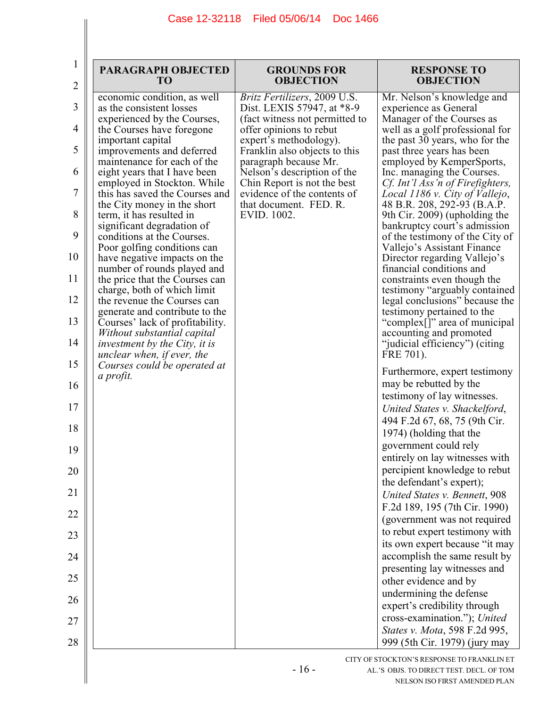| 1<br>$\overline{2}$ | <b>PARAGRAPH OBJECTED</b><br><b>TO</b>                                                            | <b>GROUNDS FOR</b><br><b>OBJECTION</b>                                              | <b>RESPONSE TO</b><br><b>OBJECTION</b>                                                         |
|---------------------|---------------------------------------------------------------------------------------------------|-------------------------------------------------------------------------------------|------------------------------------------------------------------------------------------------|
| 3                   | economic condition, as well<br>as the consistent losses                                           | Britz Fertilizers, 2009 U.S.<br>Dist. LEXIS 57947, at *8-9                          | Mr. Nelson's knowledge and<br>experience as General                                            |
| 4                   | experienced by the Courses,<br>the Courses have foregone<br>important capital                     | (fact witness not permitted to<br>offer opinions to rebut<br>expert's methodology). | Manager of the Courses as<br>well as a golf professional for<br>the past 30 years, who for the |
| 5                   | improvements and deferred<br>maintenance for each of the                                          | Franklin also objects to this<br>paragraph because Mr.                              | past three years has been<br>employed by KemperSports,                                         |
| 6                   | eight years that I have been<br>employed in Stockton. While                                       | Nelson's description of the<br>Chin Report is not the best                          | Inc. managing the Courses.<br>Cf. Int'l Ass'n of Firefighters,                                 |
| 7                   | this has saved the Courses and<br>the City money in the short                                     | evidence of the contents of<br>that document. FED. R.                               | Local 1186 v. City of Vallejo,<br>48 B.R. 208, 292-93 (B.A.P.                                  |
| 8<br>9              | term, it has resulted in<br>significant degradation of                                            | EVID. 1002.                                                                         | 9th Cir. 2009) (upholding the<br>bankruptcy court's admission                                  |
| 10                  | conditions at the Courses.<br>Poor golfing conditions can<br>have negative impacts on the         |                                                                                     | of the testimony of the City of<br>Vallejo's Assistant Finance<br>Director regarding Vallejo's |
| 11                  | number of rounds played and<br>the price that the Courses can                                     |                                                                                     | financial conditions and<br>constraints even though the                                        |
| 12                  | charge, both of which limit<br>the revenue the Courses can                                        |                                                                                     | testimony "arguably contained<br>legal conclusions" because the                                |
| 13                  | generate and contribute to the<br>Courses' lack of profitability.                                 |                                                                                     | testimony pertained to the<br>"complex[]" area of municipal                                    |
| 14                  | Without substantial capital<br><i>investment by the City, it is</i><br>unclear when, if ever, the |                                                                                     | accounting and promoted<br>"judicial efficiency") (citing<br>FRE 701).                         |
| 15                  | Courses could be operated at<br>a profit.                                                         |                                                                                     | Furthermore, expert testimony                                                                  |
| 16                  |                                                                                                   |                                                                                     | may be rebutted by the<br>testimony of lay witnesses.                                          |
| 17<br>18            |                                                                                                   |                                                                                     | United States v. Shackelford,<br>494 F.2d 67, 68, 75 (9th Cir.                                 |
| 19                  |                                                                                                   |                                                                                     | 1974) (holding that the<br>government could rely                                               |
| 20                  |                                                                                                   |                                                                                     | entirely on lay witnesses with<br>percipient knowledge to rebut                                |
| 21                  |                                                                                                   |                                                                                     | the defendant's expert);<br>United States v. Bennett, 908                                      |
| 22                  |                                                                                                   |                                                                                     | F.2d 189, 195 (7th Cir. 1990)<br>(government was not required                                  |
| 23                  |                                                                                                   |                                                                                     | to rebut expert testimony with<br>its own expert because "it may                               |
| 24                  |                                                                                                   |                                                                                     | accomplish the same result by<br>presenting lay witnesses and                                  |
| 25                  |                                                                                                   |                                                                                     | other evidence and by                                                                          |
| 26                  |                                                                                                   |                                                                                     | undermining the defense<br>expert's credibility through                                        |
| 27                  |                                                                                                   |                                                                                     | cross-examination."); United<br>States v. Mota, 598 F.2d 995,                                  |
| 28                  |                                                                                                   |                                                                                     | 999 (5th Cir. 1979) (jury may<br>CITY OF STOCKTON'S RESPONSE TO FRANKLIN ET                    |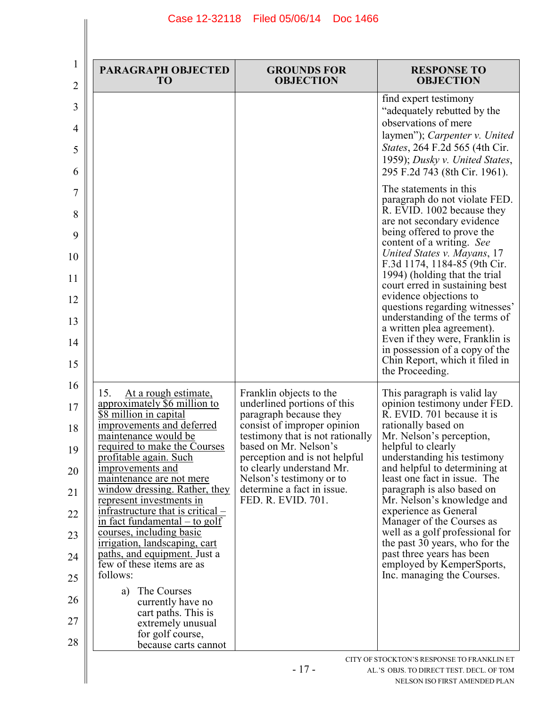| 1<br>2           | <b>PARAGRAPH OBJECTED</b><br>TO                                                                              | <b>GROUNDS FOR</b><br><b>OBJECTION</b>                                                   | <b>RESPONSE TO</b><br><b>OBJECTION</b>                                                                                                                                                                             |
|------------------|--------------------------------------------------------------------------------------------------------------|------------------------------------------------------------------------------------------|--------------------------------------------------------------------------------------------------------------------------------------------------------------------------------------------------------------------|
| 3<br>4<br>5<br>6 |                                                                                                              |                                                                                          | find expert testimony<br>"adequately rebutted by the<br>observations of mere<br>laymen"); Carpenter v. United<br>States, 264 F.2d 565 (4th Cir.<br>1959); Dusky v. United States,<br>295 F.2d 743 (8th Cir. 1961). |
| 7<br>8<br>9      |                                                                                                              |                                                                                          | The statements in this<br>paragraph do not violate FED.<br>R. EVID. 1002 because they<br>are not secondary evidence<br>being offered to prove the<br>content of a writing. See                                     |
| 10<br>11         |                                                                                                              |                                                                                          | United States v. Mayans, 17<br>F.3d 1174, 1184-85 (9th Cir.<br>1994) (holding that the trial<br>court erred in sustaining best                                                                                     |
| 12               |                                                                                                              |                                                                                          | evidence objections to<br>questions regarding witnesses'<br>understanding of the terms of                                                                                                                          |
| 13<br>14         |                                                                                                              |                                                                                          | a written plea agreement).<br>Even if they were, Franklin is<br>in possession of a copy of the                                                                                                                     |
| 15               |                                                                                                              |                                                                                          | Chin Report, which it filed in<br>the Proceeding.                                                                                                                                                                  |
| 16<br>17         | 15.<br>At a rough estimate,<br>approximately \$6 million to<br>\$8 million in capital                        | Franklin objects to the<br>underlined portions of this<br>paragraph because they         | This paragraph is valid lay<br>opinion testimony under FED.<br>R. EVID. 701 because it is                                                                                                                          |
| 18               | improvements and deferred<br>maintenance would be<br>required to make the Courses                            | consist of improper opinion<br>testimony that is not rationally<br>based on Mr. Nelson's | rationally based on<br>Mr. Nelson's perception,<br>helpful to clearly                                                                                                                                              |
| 19<br>20         | profitable again. Such<br>improvements and                                                                   | perception and is not helpful<br>to clearly understand Mr.                               | understanding his testimony<br>and helpful to determining at                                                                                                                                                       |
| 21               | maintenance are not mere<br>window dressing. Rather, they<br>represent investments in                        | Nelson's testimony or to<br>determine a fact in issue.<br>FED. R. EVID. 701.             | least one fact in issue. The<br>paragraph is also based on<br>Mr. Nelson's knowledge and                                                                                                                           |
| 22               | infrastructure that is critical –<br>$\frac{1}{2}$ in fact fundamental – to golf<br>courses, including basic |                                                                                          | experience as General<br>Manager of the Courses as<br>well as a golf professional for                                                                                                                              |
| 23<br>24         | irrigation, landscaping, cart<br>paths, and equipment. Just a                                                |                                                                                          | the past 30 years, who for the<br>past three years has been                                                                                                                                                        |
| 25               | few of these items are as<br>follows:                                                                        |                                                                                          | employed by KemperSports,<br>Inc. managing the Courses.                                                                                                                                                            |
| 26               | The Courses<br>a)<br>currently have no<br>cart paths. This is                                                |                                                                                          |                                                                                                                                                                                                                    |
| 27<br>28         | extremely unusual<br>for golf course,<br>because carts cannot                                                |                                                                                          |                                                                                                                                                                                                                    |
|                  |                                                                                                              |                                                                                          | CITY OF STOCKTON'S RESPONSE TO FRANKLIN ET                                                                                                                                                                         |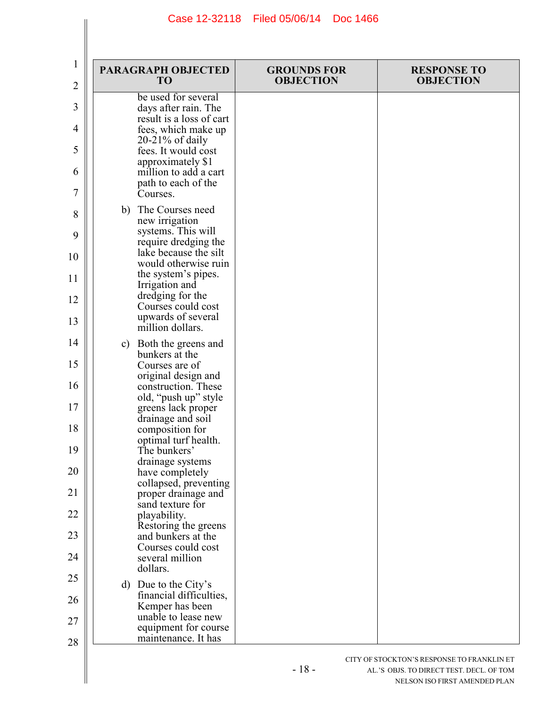| 1<br>2   | <b>PARAGRAPH OBJECTED</b><br>TO                                       | <b>GROUNDS FOR</b><br><b>OBJECTION</b> | <b>RESPONSE TO</b><br><b>OBJECTION</b> |
|----------|-----------------------------------------------------------------------|----------------------------------------|----------------------------------------|
| 3        | be used for several<br>days after rain. The                           |                                        |                                        |
| 4        | result is a loss of cart<br>fees, which make up<br>$20-21\%$ of daily |                                        |                                        |
| 5        | fees. It would cost<br>approximately \$1                              |                                        |                                        |
| 6<br>7   | million to add a cart<br>path to each of the<br>Courses.              |                                        |                                        |
| 8        | b) The Courses need<br>new irrigation                                 |                                        |                                        |
| 9        | systems. This will<br>require dredging the<br>lake because the silt   |                                        |                                        |
| 10<br>11 | would otherwise ruin<br>the system's pipes.                           |                                        |                                        |
| 12       | Irrigation and<br>dredging for the                                    |                                        |                                        |
| 13       | Courses could cost<br>upwards of several<br>million dollars.          |                                        |                                        |
| 14       | c) Both the greens and<br>bunkers at the                              |                                        |                                        |
| 15       | Courses are of<br>original design and                                 |                                        |                                        |
| 16<br>17 | construction. These<br>old, "push up" style<br>greens lack proper     |                                        |                                        |
| 18       | drainage and soil<br>composition for                                  |                                        |                                        |
| 19       | optimal turf health.<br>The bunkers'                                  |                                        |                                        |
| 20       | drainage systems<br>have completely<br>collapsed, preventing          |                                        |                                        |
| 21       | proper drainage and<br>sand texture for                               |                                        |                                        |
| 22<br>23 | playability.<br>Restoring the greens<br>and bunkers at the            |                                        |                                        |
| 24       | Courses could cost<br>several million<br>dollars.                     |                                        |                                        |
| 25       | d) Due to the City's                                                  |                                        |                                        |
| 26       | financial difficulties,<br>Kemper has been<br>unable to lease new     |                                        |                                        |
| 27<br>28 | equipment for course<br>maintenance. It has                           |                                        |                                        |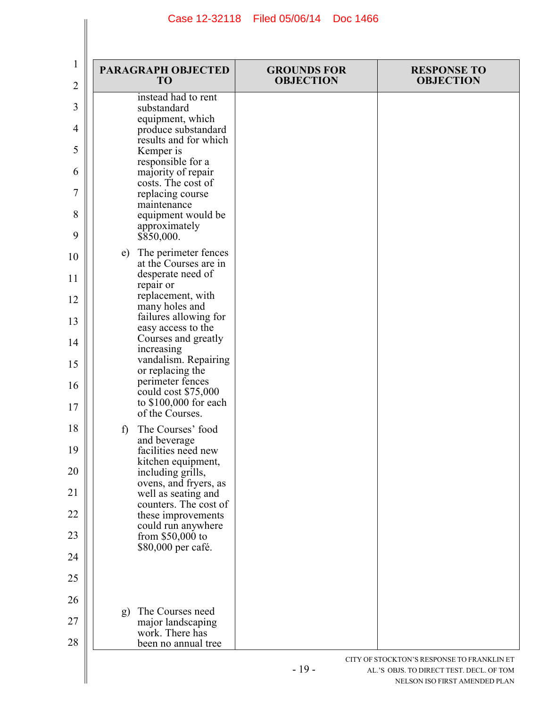| $\mathbf{1}$<br>2 | <b>PARAGRAPH OBJECTED</b><br>TO                                    | <b>GROUNDS FOR</b><br><b>OBJECTION</b> | <b>RESPONSE TO</b><br><b>OBJECTION</b>     |
|-------------------|--------------------------------------------------------------------|----------------------------------------|--------------------------------------------|
| 3                 | instead had to rent<br>substandard                                 |                                        |                                            |
| 4                 | equipment, which<br>produce substandard                            |                                        |                                            |
| 5                 | results and for which<br>Kemper is                                 |                                        |                                            |
| 6                 | responsible for a<br>majority of repair                            |                                        |                                            |
| 7                 | costs. The cost of<br>replacing course                             |                                        |                                            |
| 8                 | maintenance<br>equipment would be                                  |                                        |                                            |
| 9                 | approximately<br>\$850,000.                                        |                                        |                                            |
| 10                | e) The perimeter fences<br>at the Courses are in                   |                                        |                                            |
| 11                | desperate need of<br>repair or                                     |                                        |                                            |
| 12                | replacement, with<br>many holes and                                |                                        |                                            |
| 13                | failures allowing for<br>easy access to the                        |                                        |                                            |
| 14                | Courses and greatly<br>increasing                                  |                                        |                                            |
| 15                | vandalism. Repairing<br>or replacing the                           |                                        |                                            |
| 16                | perimeter fences<br>could cost \$75,000<br>to $$100,000$ for each  |                                        |                                            |
| 17                | of the Courses.                                                    |                                        |                                            |
| 18                | The Courses' food<br>f)<br>and beverage                            |                                        |                                            |
| 19                | facilities need new<br>kitchen equipment,                          |                                        |                                            |
| 20                | including grills,<br>ovens, and fryers, as                         |                                        |                                            |
| 21<br>22          | well as seating and<br>counters. The cost of<br>these improvements |                                        |                                            |
| 23                | could run anywhere<br>from $$50,000$ to                            |                                        |                                            |
| 24                | \$80,000 per café.                                                 |                                        |                                            |
| 25                |                                                                    |                                        |                                            |
| 26                |                                                                    |                                        |                                            |
| 27                | The Courses need<br>g)<br>major landscaping                        |                                        |                                            |
| 28                | work. There has<br>been no annual tree                             |                                        |                                            |
|                   |                                                                    |                                        | CITY OF STOCKTON'S RESPONSE TO FRANKLIN ET |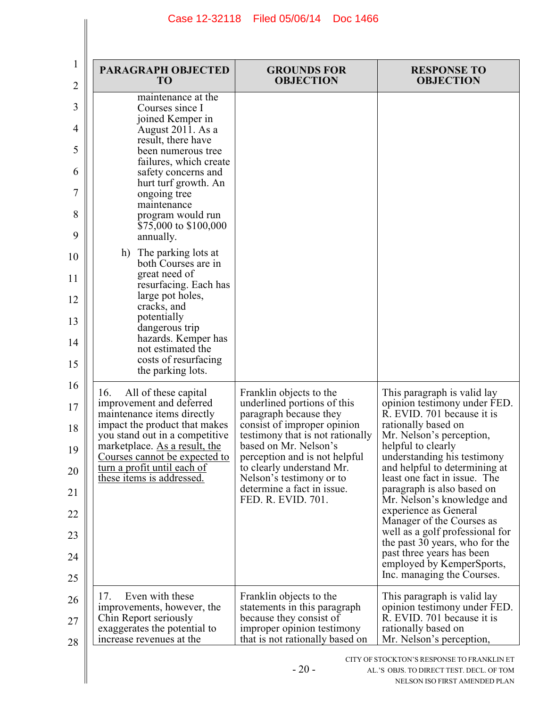| 1<br>2   | <b>PARAGRAPH OBJECTED</b><br><b>TO</b>                            | <b>GROUNDS FOR</b><br><b>OBJECTION</b>                        | <b>RESPONSE TO</b><br><b>OBJECTION</b>                                                                                  |
|----------|-------------------------------------------------------------------|---------------------------------------------------------------|-------------------------------------------------------------------------------------------------------------------------|
| 3        | maintenance at the<br>Courses since I<br>joined Kemper in         |                                                               |                                                                                                                         |
| 4        | August 2011. As a<br>result, there have                           |                                                               |                                                                                                                         |
| 5        | been numerous tree<br>failures, which create                      |                                                               |                                                                                                                         |
| 6        | safety concerns and<br>hurt turf growth. An                       |                                                               |                                                                                                                         |
| 7        | ongoing tree<br>maintenance                                       |                                                               |                                                                                                                         |
| 8        | program would run<br>\$75,000 to \$100,000                        |                                                               |                                                                                                                         |
| 9        | annually.                                                         |                                                               |                                                                                                                         |
| 10       | h)<br>The parking lots at<br>both Courses are in<br>great need of |                                                               |                                                                                                                         |
| 11       | resurfacing. Each has<br>large pot holes,                         |                                                               |                                                                                                                         |
| 12       | cracks, and<br>potentially                                        |                                                               |                                                                                                                         |
| 13       | dangerous trip<br>hazards. Kemper has                             |                                                               |                                                                                                                         |
| 14       | not estimated the<br>costs of resurfacing                         |                                                               |                                                                                                                         |
| 15       | the parking lots.                                                 |                                                               |                                                                                                                         |
| 16<br>17 | All of these capital<br>16.<br>improvement and deferred           | Franklin objects to the<br>underlined portions of this        | This paragraph is valid lay<br>opinion testimony under FED.                                                             |
| 18       | maintenance items directly<br>impact the product that makes       | paragraph because they<br>consist of improper opinion         | R. EVID. 701 because it is<br>rationally based on                                                                       |
| 19       | you stand out in a competitive<br>marketplace. As a result, the   | testimony that is not rationally<br>based on Mr. Nelson's     | Mr. Nelson's perception,<br>helpful to clearly                                                                          |
| 20       | Courses cannot be expected to<br>turn a profit until each of      | perception and is not helpful<br>to clearly understand Mr.    | understanding his testimony<br>and helpful to determining at                                                            |
| 21       | these items is addressed.                                         | Nelson's testimony or to<br>determine a fact in issue.        | least one fact in issue. The<br>paragraph is also based on                                                              |
| 22       |                                                                   | FED. R. EVID. 701.                                            | Mr. Nelson's knowledge and<br>experience as General                                                                     |
| 23       |                                                                   |                                                               | Manager of the Courses as<br>well as a golf professional for                                                            |
| 24       |                                                                   |                                                               | the past 30 years, who for the<br>past three years has been                                                             |
| 25       |                                                                   |                                                               | employed by KemperSports,<br>Inc. managing the Courses.                                                                 |
| 26       | Even with these<br>17.                                            | Franklin objects to the                                       | This paragraph is valid lay                                                                                             |
| 27       | improvements, however, the<br>Chin Report seriously               | statements in this paragraph<br>because they consist of       | opinion testimony under FED.<br>R. EVID. 701 because it is                                                              |
| 28       | exaggerates the potential to<br>increase revenues at the          | improper opinion testimony<br>that is not rationally based on | rationally based on<br>Mr. Nelson's perception,                                                                         |
|          |                                                                   | $-20-$                                                        | CITY OF STOCKTON'S RESPONSE TO FRANKLIN ET<br>AL.'S OBJS. TO DIRECT TEST. DECL. OF TOM<br>NELSON ISO FIRST AMENDED PLAN |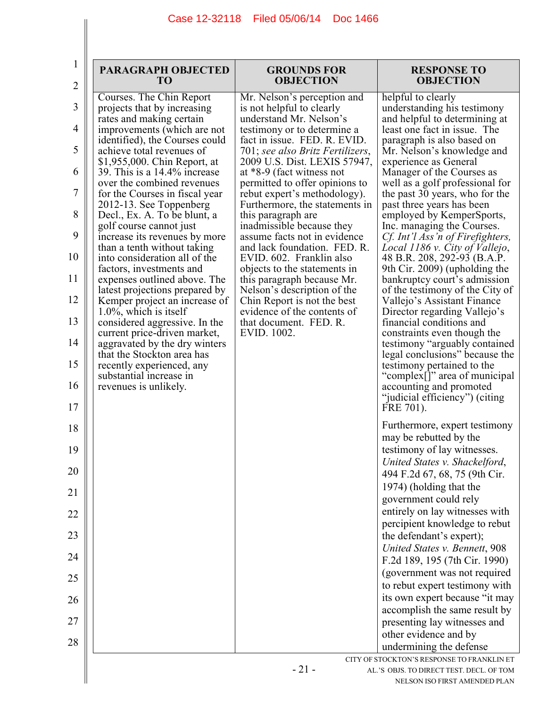| $\bf{l}$<br>$\overline{2}$ | <b>PARAGRAPH OBJECTED</b><br>T <sub>O</sub>                                                     | <b>GROUNDS FOR</b><br><b>OBJECTION</b>                                                           | <b>RESPONSE TO</b><br><b>OBJECTION</b>                                                                  |
|----------------------------|-------------------------------------------------------------------------------------------------|--------------------------------------------------------------------------------------------------|---------------------------------------------------------------------------------------------------------|
| 3                          | Courses. The Chin Report<br>projects that by increasing                                         | Mr. Nelson's perception and<br>is not helpful to clearly                                         | helpful to clearly<br>understanding his testimony                                                       |
| 4                          | rates and making certain<br>improvements (which are not                                         | understand Mr. Nelson's<br>testimony or to determine a                                           | and helpful to determining at<br>least one fact in issue. The                                           |
| 5                          | identified), the Courses could<br>achieve total revenues of<br>\$1,955,000. Chin Report, at     | fact in issue. FED. R. EVID.<br>701; see also Britz Fertilizers,<br>2009 U.S. Dist. LEXIS 57947, | paragraph is also based on<br>Mr. Nelson's knowledge and<br>experience as General                       |
| 6                          | 39. This is a 14.4% increase<br>over the combined revenues                                      | at *8-9 (fact witness not<br>permitted to offer opinions to                                      | Manager of the Courses as<br>well as a golf professional for                                            |
| 7                          | for the Courses in fiscal year<br>2012-13. See Toppenberg                                       | rebut expert's methodology).<br>Furthermore, the statements in                                   | the past 30 years, who for the<br>past three years has been                                             |
| 8                          | Decl., Ex. A. To be blunt, a<br>golf course cannot just                                         | this paragraph are<br>inadmissible because they                                                  | employed by KemperSports,<br>Inc. managing the Courses.                                                 |
| 9                          | increase its revenues by more<br>than a tenth without taking                                    | assume facts not in evidence<br>and lack foundation. FED. R.                                     | Cf. Int'l Ass'n of Firefighters,<br>Local 1186 v. City of Vallejo,                                      |
| 10<br>11                   | into consideration all of the<br>factors, investments and                                       | EVID. 602. Franklin also<br>objects to the statements in                                         | 48 B.R. 208, 292-93 (B.A.P.<br>9th Cir. 2009) (upholding the                                            |
| 12                         | expenses outlined above. The<br>latest projections prepared by<br>Kemper project an increase of | this paragraph because Mr.<br>Nelson's description of the<br>Chin Report is not the best         | bankruptcy court's admission<br>of the testimony of the City of<br>Vallejo's Assistant Finance          |
| 13                         | $1.0\%$ , which is itself<br>considered aggressive. In the                                      | evidence of the contents of<br>that document. FED. R.                                            | Director regarding Vallejo's<br>financial conditions and                                                |
| 14                         | current price-driven market,<br>aggravated by the dry winters                                   | EVID. 1002.                                                                                      | constraints even though the<br>testimony "arguably contained                                            |
| 15                         | that the Stockton area has<br>recently experienced, any                                         |                                                                                                  | legal conclusions" because the<br>testimony pertained to the                                            |
| 16<br>17                   | substantial increase in<br>revenues is unlikely.                                                |                                                                                                  | "complex[]" area of municipal<br>accounting and promoted<br>"judicial efficiency") (citing<br>FRE 701). |
| 18                         |                                                                                                 |                                                                                                  | Furthermore, expert testimony                                                                           |
| 19                         |                                                                                                 |                                                                                                  | may be rebutted by the<br>testimony of lay witnesses.                                                   |
| 20                         |                                                                                                 |                                                                                                  | United States v. Shackelford,<br>494 F.2d 67, 68, 75 (9th Cir.                                          |
| 21                         |                                                                                                 |                                                                                                  | 1974) (holding that the<br>government could rely                                                        |
| 22                         |                                                                                                 |                                                                                                  | entirely on lay witnesses with<br>percipient knowledge to rebut                                         |
| 23                         |                                                                                                 |                                                                                                  | the defendant's expert);                                                                                |
| 24                         |                                                                                                 |                                                                                                  | United States v. Bennett, 908<br>F.2d 189, 195 (7th Cir. 1990)                                          |
| 25                         |                                                                                                 |                                                                                                  | (government was not required<br>to rebut expert testimony with                                          |
| 26                         |                                                                                                 |                                                                                                  | its own expert because "it may                                                                          |
|                            |                                                                                                 |                                                                                                  | accomplish the same result by                                                                           |
| 27                         |                                                                                                 |                                                                                                  | presenting lay witnesses and<br>other evidence and by                                                   |
| 28                         |                                                                                                 |                                                                                                  | undermining the defense                                                                                 |
|                            |                                                                                                 | $-21-$                                                                                           | CITY OF STOCKTON'S RESPONSE TO FRANKLIN ET<br>AL.'S OBJS. TO DIRECT TEST. DECL. OF TOM                  |
|                            |                                                                                                 |                                                                                                  | NELSON ISO FIRST AMENDED PLAN                                                                           |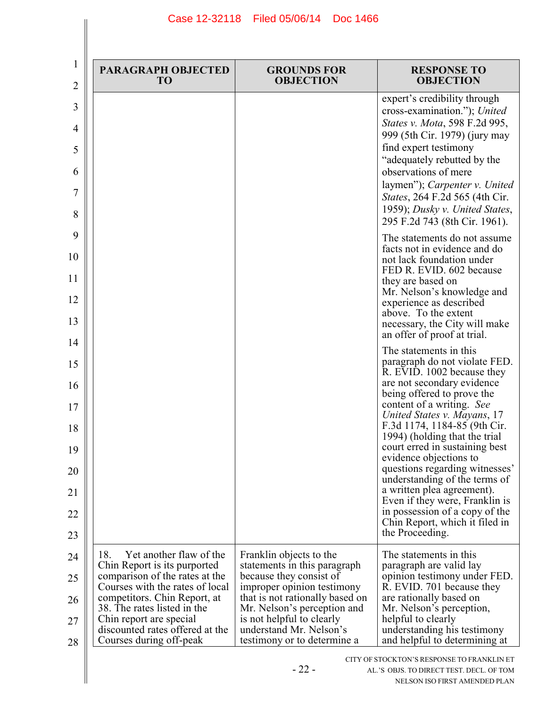| 1<br>2                                 | <b>PARAGRAPH OBJECTED</b><br>T <sub>O</sub>                                                                                                                                                                                                                                                 | <b>GROUNDS FOR</b><br><b>OBJECTION</b>                                                                                                                                                                                                                                    | <b>RESPONSE TO</b><br><b>OBJECTION</b>                                                                                                                                                                                                                                                                                                                                                                                                                                        |
|----------------------------------------|---------------------------------------------------------------------------------------------------------------------------------------------------------------------------------------------------------------------------------------------------------------------------------------------|---------------------------------------------------------------------------------------------------------------------------------------------------------------------------------------------------------------------------------------------------------------------------|-------------------------------------------------------------------------------------------------------------------------------------------------------------------------------------------------------------------------------------------------------------------------------------------------------------------------------------------------------------------------------------------------------------------------------------------------------------------------------|
| 3<br>4<br>5<br>6<br>7<br>8             |                                                                                                                                                                                                                                                                                             |                                                                                                                                                                                                                                                                           | expert's credibility through<br>cross-examination."); United<br>States v. Mota, 598 F.2d 995,<br>999 (5th Cir. 1979) (jury may<br>find expert testimony<br>"adequately rebutted by the<br>observations of mere<br>laymen"); Carpenter v. United<br>States, 264 F.2d 565 (4th Cir.<br>1959); Dusky v. United States,<br>295 F.2d 743 (8th Cir. 1961).                                                                                                                          |
| 9<br>10<br>11<br>12<br>13<br>14        |                                                                                                                                                                                                                                                                                             |                                                                                                                                                                                                                                                                           | The statements do not assume<br>facts not in evidence and do<br>not lack foundation under<br>FED R. EVID. 602 because<br>they are based on<br>Mr. Nelson's knowledge and<br>experience as described<br>above. To the extent<br>necessary, the City will make<br>an offer of proof at trial.                                                                                                                                                                                   |
| 15<br>16<br>17<br>18<br>19<br>20<br>21 |                                                                                                                                                                                                                                                                                             |                                                                                                                                                                                                                                                                           | The statements in this<br>paragraph do not violate FED.<br>R. EVID. 1002 because they<br>are not secondary evidence<br>being offered to prove the<br>content of a writing. See<br>United States v. Mayans, 17<br>F.3d 1174, 1184-85 (9th Cir.<br>1994) (holding that the trial<br>court erred in sustaining best<br>evidence objections to<br>questions regarding witnesses'<br>understanding of the terms of<br>a written plea agreement).<br>Even if they were, Franklin is |
| 22<br>23                               |                                                                                                                                                                                                                                                                                             |                                                                                                                                                                                                                                                                           | in possession of a copy of the<br>Chin Report, which it filed in<br>the Proceeding.                                                                                                                                                                                                                                                                                                                                                                                           |
| 24<br>25<br>26<br>27<br>28             | Yet another flaw of the<br>18.<br>Chin Report is its purported<br>comparison of the rates at the<br>Courses with the rates of local<br>competitors. Chin Report, at<br>38. The rates listed in the<br>Chin report are special<br>discounted rates offered at the<br>Courses during off-peak | Franklin objects to the<br>statements in this paragraph<br>because they consist of<br>improper opinion testimony<br>that is not rationally based on<br>Mr. Nelson's perception and<br>is not helpful to clearly<br>understand Mr. Nelson's<br>testimony or to determine a | The statements in this<br>paragraph are valid lay<br>opinion testimony under FED.<br>R. EVID. 701 because they<br>are rationally based on<br>Mr. Nelson's perception,<br>helpful to clearly<br>understanding his testimony<br>and helpful to determining at                                                                                                                                                                                                                   |
|                                        |                                                                                                                                                                                                                                                                                             | $-22-$                                                                                                                                                                                                                                                                    | CITY OF STOCKTON'S RESPONSE TO FRANKLIN ET<br>AL.'S OBJS. TO DIRECT TEST. DECL. OF TOM<br>NELSON ISO FIRST AMENDED PLAN                                                                                                                                                                                                                                                                                                                                                       |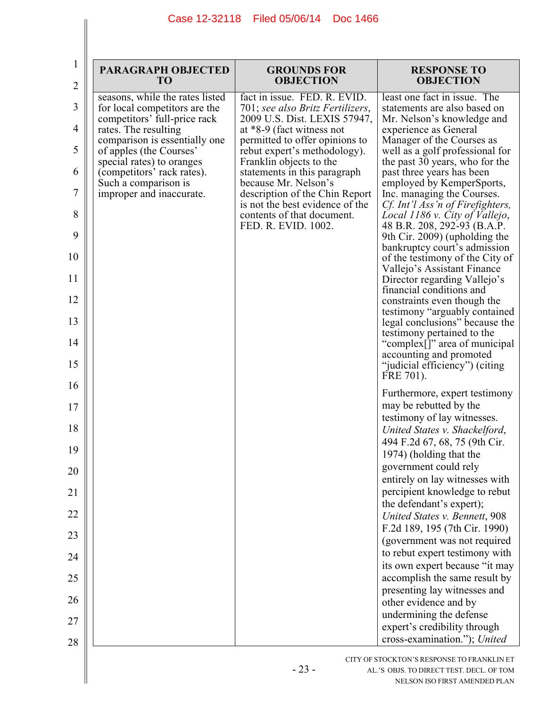| 1<br>$\overline{2}$ | <b>PARAGRAPH OBJECTED</b><br><b>TO</b>                           | <b>GROUNDS FOR</b><br><b>OBJECTION</b>                                                    | <b>RESPONSE TO</b><br><b>OBJECTION</b>                                                         |
|---------------------|------------------------------------------------------------------|-------------------------------------------------------------------------------------------|------------------------------------------------------------------------------------------------|
| 3                   | seasons, while the rates listed<br>for local competitors are the | fact in issue. FED. R. EVID.<br>701; see also Britz Fertilizers,                          | least one fact in issue. The<br>statements are also based on                                   |
| 4                   | competitors' full-price rack<br>rates. The resulting             | 2009 U.S. Dist. LEXIS 57947,<br>at *8-9 (fact witness not                                 | Mr. Nelson's knowledge and<br>experience as General                                            |
| 5                   | comparison is essentially one<br>of apples (the Courses'         | permitted to offer opinions to<br>rebut expert's methodology).                            | Manager of the Courses as<br>well as a golf professional for                                   |
| 6                   | special rates) to oranges<br>(competitors' rack rates).          | Franklin objects to the<br>statements in this paragraph                                   | the past 30 years, who for the<br>past three years has been                                    |
| 7                   | Such a comparison is<br>improper and inaccurate.                 | because Mr. Nelson's<br>description of the Chin Report<br>is not the best evidence of the | employed by KemperSports,<br>Inc. managing the Courses.<br>Cf. Int'l Ass'n of Firefighters,    |
| 8                   |                                                                  | contents of that document.<br>FED. R. EVID. 1002.                                         | Local 1186 v. City of Vallejo,<br>48 B.R. 208, 292-93 (B.A.P.                                  |
| 9<br>10             |                                                                  |                                                                                           | 9th Cir. 2009) (upholding the<br>bankruptcy court's admission                                  |
| 11                  |                                                                  |                                                                                           | of the testimony of the City of<br>Vallejo's Assistant Finance<br>Director regarding Vallejo's |
| 12                  |                                                                  |                                                                                           | financial conditions and<br>constraints even though the                                        |
| 13                  |                                                                  |                                                                                           | testimony "arguably contained<br>legal conclusions" because the                                |
| 14                  |                                                                  |                                                                                           | testimony pertained to the<br>"complex[]" area of municipal                                    |
| 15                  |                                                                  |                                                                                           | accounting and promoted<br>"judicial efficiency") (citing<br>FRE 701).                         |
| 16                  |                                                                  |                                                                                           | Furthermore, expert testimony                                                                  |
| 17                  |                                                                  |                                                                                           | may be rebutted by the<br>testimony of lay witnesses.                                          |
| 18                  |                                                                  |                                                                                           | United States v. Shackelford,<br>494 F.2d 67, 68, 75 (9th Cir.                                 |
| 19<br>20            |                                                                  |                                                                                           | 1974) (holding that the<br>government could rely                                               |
| 21                  |                                                                  |                                                                                           | entirely on lay witnesses with<br>percipient knowledge to rebut                                |
| 22                  |                                                                  |                                                                                           | the defendant's expert);                                                                       |
| 23                  |                                                                  |                                                                                           | United States v. Bennett, 908<br>F.2d 189, 195 (7th Cir. 1990)                                 |
| 24                  |                                                                  |                                                                                           | (government was not required<br>to rebut expert testimony with                                 |
| 25                  |                                                                  |                                                                                           | its own expert because "it may<br>accomplish the same result by                                |
| 26                  |                                                                  |                                                                                           | presenting lay witnesses and                                                                   |
| 27                  |                                                                  |                                                                                           | other evidence and by<br>undermining the defense                                               |
| 28                  |                                                                  |                                                                                           | expert's credibility through<br>cross-examination."); United                                   |
|                     |                                                                  |                                                                                           | CITY OF STOCKTON'S RESPONSE TO FRANKLIN ET                                                     |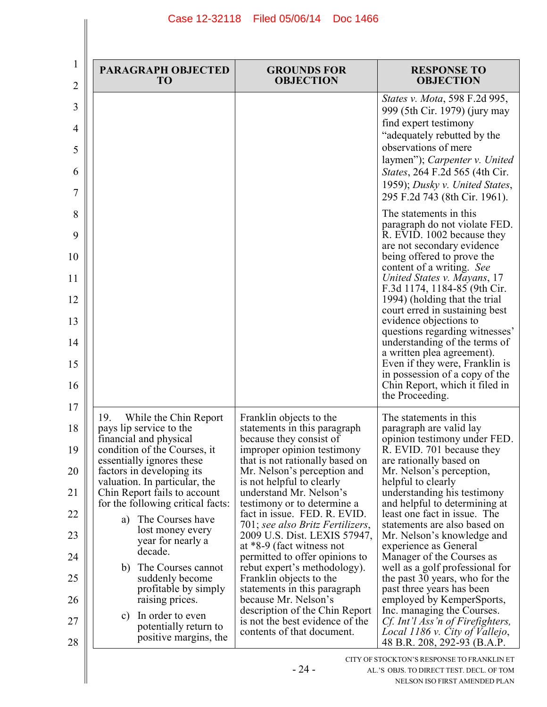| <b>PARAGRAPH OBJECTED</b><br>T <sub>O</sub>                                                                                                                                                                                                                                                                                                                                                                                                                                                                                           | <b>GROUNDS FOR</b><br><b>OBJECTION</b>                                                                                                                                                                                                                                                                                                                                                                                                                                                                                                                                                                                                                             | <b>RESPONSE TO</b><br><b>OBJECTION</b>                                                                                                                                                                                                                                                                                                                                                                                                                                                                                                                                                                                                                                            |
|---------------------------------------------------------------------------------------------------------------------------------------------------------------------------------------------------------------------------------------------------------------------------------------------------------------------------------------------------------------------------------------------------------------------------------------------------------------------------------------------------------------------------------------|--------------------------------------------------------------------------------------------------------------------------------------------------------------------------------------------------------------------------------------------------------------------------------------------------------------------------------------------------------------------------------------------------------------------------------------------------------------------------------------------------------------------------------------------------------------------------------------------------------------------------------------------------------------------|-----------------------------------------------------------------------------------------------------------------------------------------------------------------------------------------------------------------------------------------------------------------------------------------------------------------------------------------------------------------------------------------------------------------------------------------------------------------------------------------------------------------------------------------------------------------------------------------------------------------------------------------------------------------------------------|
|                                                                                                                                                                                                                                                                                                                                                                                                                                                                                                                                       |                                                                                                                                                                                                                                                                                                                                                                                                                                                                                                                                                                                                                                                                    | States v. Mota, 598 F.2d 995,<br>999 (5th Cir. 1979) (jury may<br>find expert testimony<br>"adequately rebutted by the<br>observations of mere<br>laymen"); Carpenter v. United<br><i>States</i> , 264 F.2d 565 (4th Cir.<br>1959); Dusky v. United States,<br>295 F.2d 743 (8th Cir. 1961).                                                                                                                                                                                                                                                                                                                                                                                      |
|                                                                                                                                                                                                                                                                                                                                                                                                                                                                                                                                       |                                                                                                                                                                                                                                                                                                                                                                                                                                                                                                                                                                                                                                                                    | The statements in this<br>paragraph do not violate FED.<br>R. EVID. 1002 because they<br>are not secondary evidence<br>being offered to prove the<br>content of a writing. See<br>United States v. Mayans, 17<br>F.3d 1174, 1184-85 (9th Cir.<br>1994) (holding that the trial<br>court erred in sustaining best<br>evidence objections to<br>questions regarding witnesses'<br>understanding of the terms of<br>a written plea agreement).<br>Even if they were, Franklin is<br>in possession of a copy of the<br>Chin Report, which it filed in<br>the Proceeding.                                                                                                              |
| 19.<br>While the Chin Report<br>pays lip service to the<br>financial and physical<br>condition of the Courses, it<br>essentially ignores these<br>factors in developing its<br>valuation. In particular, the<br>Chin Report fails to account<br>for the following critical facts:<br>The Courses have<br>a)<br>lost money every<br>year for nearly a<br>decade.<br>The Courses cannot<br>b)<br>suddenly become<br>profitable by simply<br>raising prices.<br>In order to even<br>C)<br>potentially return to<br>positive margins, the | Franklin objects to the<br>statements in this paragraph<br>because they consist of<br>improper opinion testimony<br>that is not rationally based on<br>Mr. Nelson's perception and<br>is not helpful to clearly<br>understand Mr. Nelson's<br>testimony or to determine a<br>fact in issue. FED. R. EVID.<br>701; see also Britz Fertilizers,<br>2009 U.S. Dist. LEXIS 57947,<br>at *8-9 (fact witness not<br>permitted to offer opinions to<br>rebut expert's methodology).<br>Franklin objects to the<br>statements in this paragraph<br>because Mr. Nelson's<br>description of the Chin Report<br>is not the best evidence of the<br>contents of that document. | The statements in this<br>paragraph are valid lay<br>opinion testimony under FED.<br>R. EVID. 701 because they<br>are rationally based on<br>Mr. Nelson's perception,<br>helpful to clearly<br>understanding his testimony<br>and helpful to determining at<br>least one fact in issue. The<br>statements are also based on<br>Mr. Nelson's knowledge and<br>experience as General<br>Manager of the Courses as<br>well as a golf professional for<br>the past 30 years, who for the<br>past three years has been<br>employed by KemperSports,<br>Inc. managing the Courses.<br>Cf. Int'l Ass'n of Firefighters,<br>Local 1186 v. City of Vallejo,<br>48 B.R. 208, 292-93 (B.A.P. |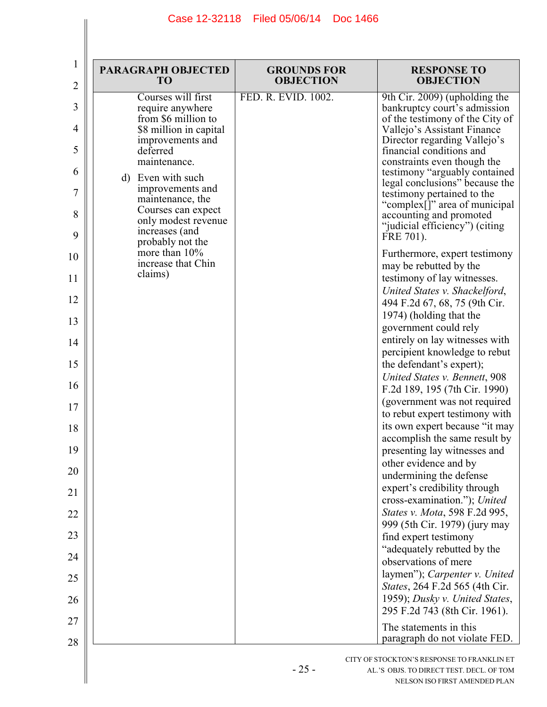| 1<br>$\overline{2}$                                                                                           | <b>PARAGRAPH OBJECTED</b><br>TO                                                                                                                                                                                                                                                                                                           | <b>GROUNDS FOR</b><br><b>OBJECTION</b> | <b>RESPONSE TO</b><br><b>OBJECTION</b>                                                                                                                                                                                                                                                                                                                                                                                                                                                                                                                                                                                                                                                                                                                                                                                                                                                                                                                                                                                                                                                                                                            |
|---------------------------------------------------------------------------------------------------------------|-------------------------------------------------------------------------------------------------------------------------------------------------------------------------------------------------------------------------------------------------------------------------------------------------------------------------------------------|----------------------------------------|---------------------------------------------------------------------------------------------------------------------------------------------------------------------------------------------------------------------------------------------------------------------------------------------------------------------------------------------------------------------------------------------------------------------------------------------------------------------------------------------------------------------------------------------------------------------------------------------------------------------------------------------------------------------------------------------------------------------------------------------------------------------------------------------------------------------------------------------------------------------------------------------------------------------------------------------------------------------------------------------------------------------------------------------------------------------------------------------------------------------------------------------------|
| 3<br>4<br>5<br>6<br>7<br>8<br>9<br>10<br>11<br>12<br>13<br>14<br>15<br>16<br>17<br>18<br>19<br>20<br>21<br>22 | Courses will first<br>require anywhere<br>from \$6 million to<br>\$8 million in capital<br>improvements and<br>deferred<br>maintenance.<br>d) Even with such<br>improvements and<br>maintenance, the<br>Courses can expect<br>only modest revenue<br>increases (and<br>probably not the<br>more than 10%<br>increase that Chin<br>claims) | FED. R. EVID. 1002.                    | 9th Cir. 2009) (upholding the<br>bankruptcy court's admission<br>of the testimony of the City of<br>Vallejo's Assistant Finance<br>Director regarding Vallejo's<br>financial conditions and<br>constraints even though the<br>testimony "arguably contained<br>legal conclusions" because the<br>testimony pertained to the<br>"complex[]" area of municipal<br>accounting and promoted<br>"judicial efficiency") (citing<br>FRE 701).<br>Furthermore, expert testimony<br>may be rebutted by the<br>testimony of lay witnesses.<br>United States v. Shackelford,<br>494 F.2d 67, 68, 75 (9th Cir.<br>1974) (holding that the<br>government could rely<br>entirely on lay witnesses with<br>percipient knowledge to rebut<br>the defendant's expert);<br>United States v. Bennett, 908<br>F.2d 189, 195 (7th Cir. 1990)<br>(government was not required<br>to rebut expert testimony with<br>its own expert because "it may<br>accomplish the same result by<br>presenting lay witnesses and<br>other evidence and by<br>undermining the defense<br>expert's credibility through<br>cross-examination."); United<br>States v. Mota, 598 F.2d 995, |
| 23                                                                                                            |                                                                                                                                                                                                                                                                                                                                           |                                        | 999 (5th Cir. 1979) (jury may<br>find expert testimony                                                                                                                                                                                                                                                                                                                                                                                                                                                                                                                                                                                                                                                                                                                                                                                                                                                                                                                                                                                                                                                                                            |
| 24                                                                                                            |                                                                                                                                                                                                                                                                                                                                           |                                        | "adequately rebutted by the<br>observations of mere                                                                                                                                                                                                                                                                                                                                                                                                                                                                                                                                                                                                                                                                                                                                                                                                                                                                                                                                                                                                                                                                                               |
| 25<br>26                                                                                                      |                                                                                                                                                                                                                                                                                                                                           |                                        | laymen"); Carpenter v. United<br>States, 264 F.2d 565 (4th Cir.<br>1959); Dusky v. United States,<br>295 F.2d 743 (8th Cir. 1961).                                                                                                                                                                                                                                                                                                                                                                                                                                                                                                                                                                                                                                                                                                                                                                                                                                                                                                                                                                                                                |
| 27                                                                                                            |                                                                                                                                                                                                                                                                                                                                           |                                        | The statements in this<br>paragraph do not violate FED.                                                                                                                                                                                                                                                                                                                                                                                                                                                                                                                                                                                                                                                                                                                                                                                                                                                                                                                                                                                                                                                                                           |
| 28                                                                                                            |                                                                                                                                                                                                                                                                                                                                           | $-25-$                                 | CITY OF STOCKTON'S RESPONSE TO FRANKLIN ET<br>AL.'S OBJS. TO DIRECT TEST. DECL. OF TOM<br>NELSON ISO FIRST AMENDED PLAN                                                                                                                                                                                                                                                                                                                                                                                                                                                                                                                                                                                                                                                                                                                                                                                                                                                                                                                                                                                                                           |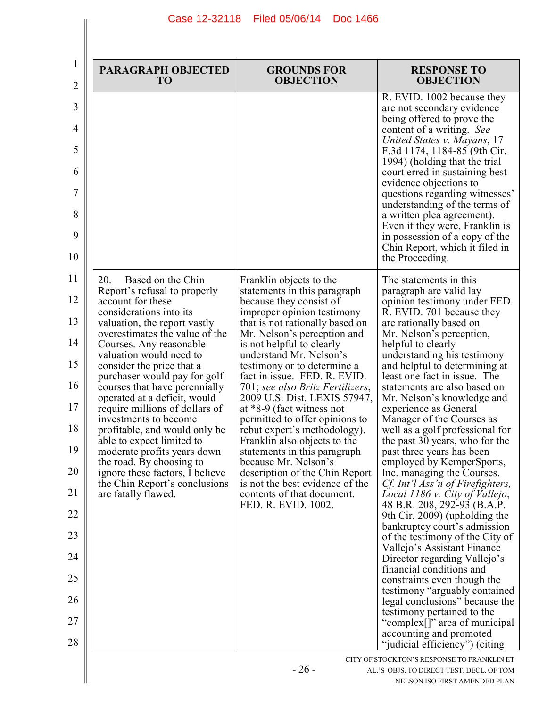| <b>PARAGRAPH OBJECTED</b><br><b>TO</b>                                                                                                                                                                                                                                                                                                                                                                                                                                                                                                                                                                                                        | <b>GROUNDS FOR</b><br><b>OBJECTION</b>                                                                                                                                                                                                                                                                                                                                                                                                                                                                                                                                                                                                                                                         | <b>RESPONSE TO</b><br><b>OBJECTION</b>                                                                                                                                                                                                                                                                                                                                                                                                                                                                                                                                                                                                                                                                                                                                                                                                                                                                                                                                                                                                            |
|-----------------------------------------------------------------------------------------------------------------------------------------------------------------------------------------------------------------------------------------------------------------------------------------------------------------------------------------------------------------------------------------------------------------------------------------------------------------------------------------------------------------------------------------------------------------------------------------------------------------------------------------------|------------------------------------------------------------------------------------------------------------------------------------------------------------------------------------------------------------------------------------------------------------------------------------------------------------------------------------------------------------------------------------------------------------------------------------------------------------------------------------------------------------------------------------------------------------------------------------------------------------------------------------------------------------------------------------------------|---------------------------------------------------------------------------------------------------------------------------------------------------------------------------------------------------------------------------------------------------------------------------------------------------------------------------------------------------------------------------------------------------------------------------------------------------------------------------------------------------------------------------------------------------------------------------------------------------------------------------------------------------------------------------------------------------------------------------------------------------------------------------------------------------------------------------------------------------------------------------------------------------------------------------------------------------------------------------------------------------------------------------------------------------|
|                                                                                                                                                                                                                                                                                                                                                                                                                                                                                                                                                                                                                                               |                                                                                                                                                                                                                                                                                                                                                                                                                                                                                                                                                                                                                                                                                                | R. EVID. 1002 because they<br>are not secondary evidence<br>being offered to prove the<br>content of a writing. See<br>United States v. Mayans, 17<br>F.3d 1174, 1184-85 (9th Cir.<br>1994) (holding that the trial<br>court erred in sustaining best<br>evidence objections to<br>questions regarding witnesses'<br>understanding of the terms of<br>a written plea agreement).<br>Even if they were, Franklin is<br>in possession of a copy of the<br>Chin Report, which it filed in<br>the Proceeding.                                                                                                                                                                                                                                                                                                                                                                                                                                                                                                                                         |
| Based on the Chin<br>20.<br>Report's refusal to properly<br>account for these<br>considerations into its<br>valuation, the report vastly<br>overestimates the value of the<br>Courses. Any reasonable<br>valuation would need to<br>consider the price that a<br>purchaser would pay for golf<br>courses that have perennially<br>operated at a deficit, would<br>require millions of dollars of<br>investments to become<br>profitable, and would only be<br>able to expect limited to<br>moderate profits years down<br>the road. By choosing to<br>ignore these factors, I believe<br>the Chin Report's conclusions<br>are fatally flawed. | Franklin objects to the<br>statements in this paragraph<br>because they consist of<br>improper opinion testimony<br>that is not rationally based on<br>Mr. Nelson's perception and<br>is not helpful to clearly<br>understand Mr. Nelson's<br>testimony or to determine a<br>fact in issue. FED. R. EVID.<br>701; see also Britz Fertilizers,<br>2009 U.S. Dist. LEXIS 57947,<br>at *8-9 (fact witness not<br>permitted to offer opinions to<br>rebut expert's methodology).<br>Franklin also objects to the<br>statements in this paragraph<br>because Mr. Nelson's<br>description of the Chin Report<br>is not the best evidence of the<br>contents of that document.<br>FED. R. EVID. 1002. | The statements in this<br>paragraph are valid lay<br>opinion testimony under FED.<br>R. EVID. 701 because they<br>are rationally based on<br>Mr. Nelson's perception,<br>helpful to clearly<br>understanding his testimony<br>and helpful to determining at<br>least one fact in issue. The<br>statements are also based on<br>Mr. Nelson's knowledge and<br>experience as General<br>Manager of the Courses as<br>well as a golf professional for<br>the past 30 years, who for the<br>past three years has been<br>employed by KemperSports,<br>Inc. managing the Courses.<br>Cf. Int'l Ass'n of Firefighters,<br>Local 1186 v. City of Vallejo,<br>48 B.R. 208, 292-93 (B.A.P.<br>9th Cir. 2009) (upholding the<br>bankruptcy court's admission<br>of the testimony of the City of<br>Vallejo's Assistant Finance<br>Director regarding Vallejo's<br>financial conditions and<br>constraints even though the<br>testimony "arguably contained<br>legal conclusions" because the<br>testimony pertained to the<br>"complex[]" area of municipal |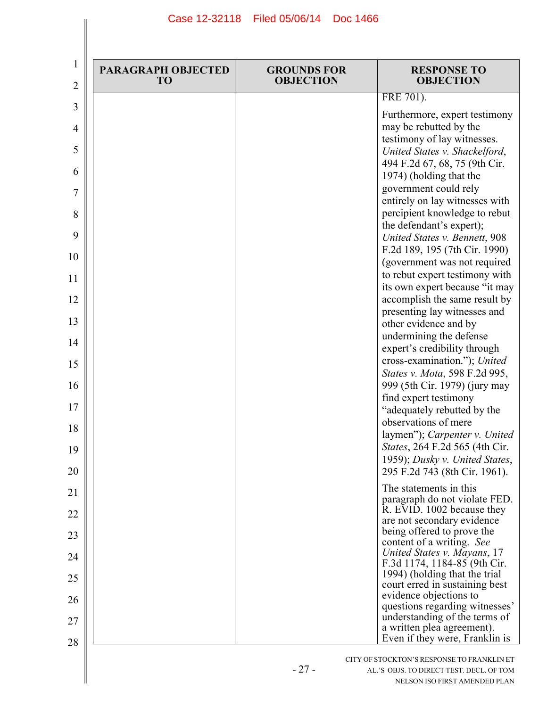| 2      | <b>PARAGRAPH OBJECTED</b><br>TO | <b>GROUNDS FOR</b><br><b>OBJECTION</b> | <b>RESPONSE TO</b><br><b>OBJECTION</b>                                                                                  |
|--------|---------------------------------|----------------------------------------|-------------------------------------------------------------------------------------------------------------------------|
| 3      |                                 |                                        | FRE 701).                                                                                                               |
| 4<br>5 |                                 |                                        | Furthermore, expert testimony<br>may be rebutted by the<br>testimony of lay witnesses.<br>United States v. Shackelford, |
| 6      |                                 |                                        | 494 F.2d 67, 68, 75 (9th Cir.<br>1974) (holding that the                                                                |
|        |                                 |                                        | government could rely<br>entirely on lay witnesses with                                                                 |
|        |                                 |                                        | percipient knowledge to rebut<br>the defendant's expert);<br>United States v. Bennett, 908                              |
|        |                                 |                                        | F.2d 189, 195 (7th Cir. 1990)<br>(government was not required                                                           |
|        |                                 |                                        | to rebut expert testimony with<br>its own expert because "it may                                                        |
|        |                                 |                                        | accomplish the same result by<br>presenting lay witnesses and                                                           |
| 14     |                                 |                                        | other evidence and by<br>undermining the defense                                                                        |
|        |                                 |                                        | expert's credibility through<br>cross-examination."); United                                                            |
|        |                                 |                                        | States v. Mota, 598 F.2d 995,<br>999 (5th Cir. 1979) (jury may                                                          |
|        |                                 |                                        | find expert testimony<br>"adequately rebutted by the                                                                    |
|        |                                 |                                        | observations of mere<br>laymen"); Carpenter v. United                                                                   |
|        |                                 |                                        | States, 264 F.2d 565 (4th Cir.<br>1959); Dusky v. United States,<br>295 F.2d 743 (8th Cir. 1961).                       |
|        |                                 |                                        | The statements in this                                                                                                  |
|        |                                 |                                        | paragraph do not violate FED.<br>R. EVID. 1002 because they<br>are not secondary evidence                               |
|        |                                 |                                        | being offered to prove the<br>content of a writing. See                                                                 |
|        |                                 |                                        | United States v. Mayans, 17<br>F.3d 1174, 1184-85 (9th Cir.                                                             |
|        |                                 |                                        | 1994) (holding that the trial<br>court erred in sustaining best                                                         |
|        |                                 |                                        | evidence objections to<br>questions regarding witnesses'<br>understanding of the terms of                               |
|        |                                 |                                        | a written plea agreement).<br>Even if they were, Franklin is                                                            |

- 27 -